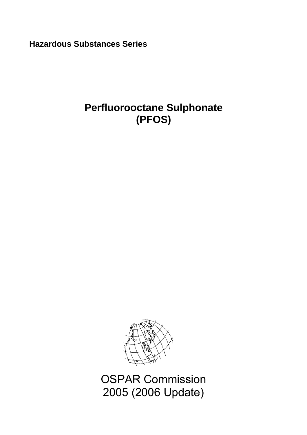# **Perfluorooctane Sulphonate (PFOS)**



OSPAR Commission 2005 (2006 Update)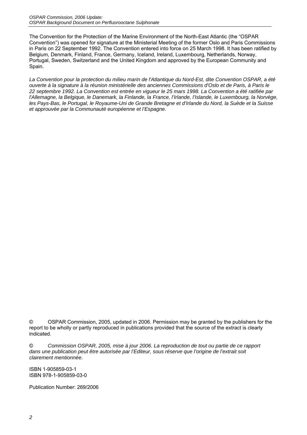The Convention for the Protection of the Marine Environment of the North-East Atlantic (the "OSPAR Convention") was opened for signature at the Ministerial Meeting of the former Oslo and Paris Commissions in Paris on 22 September 1992. The Convention entered into force on 25 March 1998. It has been ratified by Belgium, Denmark, Finland, France, Germany, Iceland, Ireland, Luxembourg, Netherlands, Norway, Portugal, Sweden, Switzerland and the United Kingdom and approved by the European Community and Spain.

*La Convention pour la protection du milieu marin de l'Atlantique du Nord-Est, dite Convention OSPAR, a été ouverte à la signature à la réunion ministérielle des anciennes Commissions d'Oslo et de Paris, à Paris le 22 septembre 1992. La Convention est entrée en vigueur le 25 mars 1998. La Convention a été ratifiée par l'Allemagne, la Belgique, le Danemark, la Finlande, la France, l'Irlande, l'Islande, le Luxembourg, la Norvège, les Pays-Bas, le Portugal, le Royaume-Uni de Grande Bretagne et d'Irlande du Nord, la Suède et la Suisse et approuvée par la Communauté européenne et l'Espagne.*

© OSPAR Commission, 2005, updated in 2006. Permission may be granted by the publishers for the report to be wholly or partly reproduced in publications provided that the source of the extract is clearly indicated.

© *Commission OSPAR, 2005, mise à jour 2006. La reproduction de tout ou partie de ce rapport dans une publication peut être autorisée par l'Editeur, sous réserve que l'origine de l'extrait soit clairement mentionnée.*

ISBN 1-905859-03-1 ISBN 978-1-905859-03-0

Publication Number: 269/2006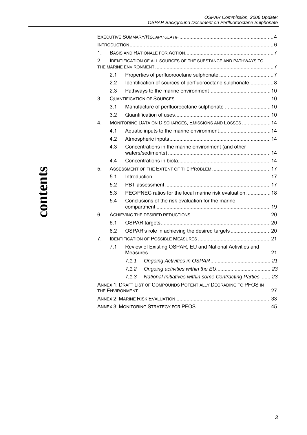| 1.      |                                                                       |                                                                   |  |  |  |  |  |  |  |
|---------|-----------------------------------------------------------------------|-------------------------------------------------------------------|--|--|--|--|--|--|--|
| 2.      | <b>IDENTIFICATION OF ALL SOURCES OF THE SUBSTANCE AND PATHWAYS TO</b> |                                                                   |  |  |  |  |  |  |  |
|         |                                                                       |                                                                   |  |  |  |  |  |  |  |
|         | 2.1                                                                   |                                                                   |  |  |  |  |  |  |  |
|         | 2.2                                                                   | Identification of sources of perfluorooctane sulphonate 8         |  |  |  |  |  |  |  |
|         | 2.3                                                                   |                                                                   |  |  |  |  |  |  |  |
| 3.      |                                                                       |                                                                   |  |  |  |  |  |  |  |
|         | 3.1                                                                   |                                                                   |  |  |  |  |  |  |  |
|         | 3.2                                                                   |                                                                   |  |  |  |  |  |  |  |
| $4_{-}$ |                                                                       | MONITORING DATA ON DISCHARGES, EMISSIONS AND LOSSES  14           |  |  |  |  |  |  |  |
|         | 4.1                                                                   |                                                                   |  |  |  |  |  |  |  |
|         | 4.2                                                                   |                                                                   |  |  |  |  |  |  |  |
|         | 4.3                                                                   | Concentrations in the marine environment (and other               |  |  |  |  |  |  |  |
|         |                                                                       |                                                                   |  |  |  |  |  |  |  |
|         | 4.4                                                                   |                                                                   |  |  |  |  |  |  |  |
| 5.      |                                                                       |                                                                   |  |  |  |  |  |  |  |
|         | 5.1                                                                   |                                                                   |  |  |  |  |  |  |  |
|         | 5.2                                                                   |                                                                   |  |  |  |  |  |  |  |
|         | 5.3                                                                   | PEC/PNEC ratios for the local marine risk evaluation  18          |  |  |  |  |  |  |  |
|         | 5.4                                                                   | Conclusions of the risk evaluation for the marine                 |  |  |  |  |  |  |  |
| 6.      |                                                                       |                                                                   |  |  |  |  |  |  |  |
|         | 6.1                                                                   |                                                                   |  |  |  |  |  |  |  |
|         | 6.2                                                                   |                                                                   |  |  |  |  |  |  |  |
| 7.      |                                                                       |                                                                   |  |  |  |  |  |  |  |
|         | 7.1                                                                   | Review of Existing OSPAR, EU and National Activities and          |  |  |  |  |  |  |  |
|         |                                                                       | 7.1.1                                                             |  |  |  |  |  |  |  |
|         |                                                                       | 7.1.2                                                             |  |  |  |  |  |  |  |
|         |                                                                       | National Initiatives within some Contracting Parties  23<br>7.1.3 |  |  |  |  |  |  |  |
|         | ANNEX 1: DRAFT LIST OF COMPOUNDS POTENTIALLY DEGRADING TO PFOS IN     |                                                                   |  |  |  |  |  |  |  |
|         |                                                                       |                                                                   |  |  |  |  |  |  |  |
|         |                                                                       |                                                                   |  |  |  |  |  |  |  |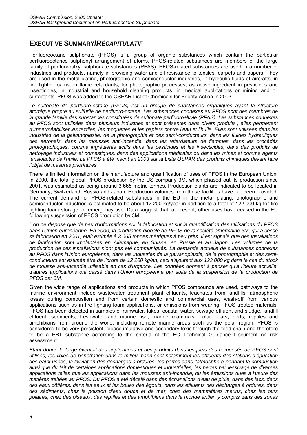# **EXECUTIVE SUMMARY/***RÉCAPITULATIF*

Perfluorooctane sulphonate (PFOS) is a group of organic substances which contain the particular perfluorooctance sulphonyl arrangement of atoms. PFOS-related substances are members of the large family of perfluoroalkyl sulphonate substances (PFAS). PFOS-related substances are used in a number of industries and products, namely in providing water and oil resistance to textiles, carpets and papers. They are used in the metal plating, photographic and semiconductor industries, in hydraulic fluids of aircrafts, in fire fighter foams, in flame retardants, for photographic processes, as active ingredient in pesticides and insecticides, in industrial and household cleaning products, in medical applications or mining and oil surfactants. PFOS was added to the OSPAR List of Chemicals for Priority Action in 2003.

*Le sulfonate de perfluoro-octane (PFOS) est un groupe de substances organiques ayant la structure atomique propre au sulfurile de perfluoro-octane. Les substances connexes au PFOS sont des membres de la grande famille des substances constituées de sulfonate perfluoroalkyle (PFAS). Les substances connexes au PFOS sont utilisées dans plusieurs industries et sont présentes dans divers produits ; elles permettent d'imperméabiliser les textiles, les moquettes et les papiers contre l'eau et l'huile. Elles sont utilisées dans les industries de la galvanoplastie, de la photographie et des semi-conducteurs, dans les fluides hydrauliques des aéronefs, dans les mousses anti-incendie, dans les retardateurs de flammes, dans les procédés photographiques, comme ingrédients actifs dans les pesticides et les insecticides, dans des produits de nettoyage industriels et domestiques, dans des applications médicales ou dans les mines et comme agents tensioactifs de l'huile. Le PFOS a été inscrit en 2003 sur la Liste OSPAR des produits chimiques devant faire l'objet de mesures prioritaires.* 

There is limited information on the manufacture and quantification of uses of PFOS in the European Union. In 2000, the total global PFOS production by the US company 3M, which phased out its production since 2001, was estimated as being around 3 665 metric tonnes. Production plants are indicated to be located in Germany, Switzerland, Russia and Japan. Production volumes from these facilities have not been provided. The current demand for PFOS-related substances in the EU in the metal plating, photographic and semiconductor industries is estimated to be about 12 200 kg/year in addition to a total of 122 000 kg for fire fighting foam storage for emergency use. Data suggest that, at present, other uses have ceased in the EU following suspension of PFOS production by 3M.

*L'on ne dispose que de peu d'informations sur la fabrication et sur la quantification des utilisations du PFOS dans l'Union européenne. En 2000, la production globale de PFOS de la société américaine 3M, qui a cessé sa fabrication en 2001, était estimée à 3 665 tonnes métriques à peu près. Il est signalé que des installations de fabrication sont implantées en Allemagne, en Suisse, en Russie et au Japon. Les volumes de la production de ces installations n'ont pas été communiqués. La demande actuelle de substances connexes au PFOS dans l'Union européenne, dans les industries de la galvanoplastie, de la photographie et des semiconducteurs est estimée être de l'ordre de 12 200 kg/an, ceci s'ajoutant aux 122 000 kg dans le cas du stock de mousse anti-incendie utilisable en cas d'urgence. Les données donnent à penser qu'à l'heure actuelle, d'autres applications ont cessé dans l'Union européenne par suite de la suspension de la production de PFOS par 3M.* 

Given the wide range of applications and products in which PFOS compounds are used, pathways to the marine environment include wastewater treatment plant effluents, leachates from landfills, atmospheric losses during combustion and from certain domestic and commercial uses, wash-off from various applications such as in fire fighting foam applications, or emissions from wearing PFOS treated materials. PFOS has been detected in samples of rainwater, lakes, coastal water, sewage effluent and sludge, landfill effluent, sediments, freshwater and marine fish, marine mammals, polar bears, birds, reptiles and amphibians from around the world, including remote marine areas such as the polar region. PFOS is considered to be very persistent, bioaccumulative and secondary toxic through the food chain and therefore to be a PBT substance according to the criteria of the EC Technical Guidance Document on risk assessment.

*Etant donné le large éventail des applications et des produits dans lesquels des composés de PFOS sont utilisés, les voies de pénétration dans le milieu marin sont notamment les effluents des stations d'épuration des eaux usées, la lixiviation des décharges à ordures, les pertes dans l'atmosphère pendant la combustion ainsi que du fait de certaines applications domestiques et industrielles, les pertes par lessivage de diverses applications telles que les applications dans les mousses anti-incendie, ou les émissions dues à l'usure des matières traitées au PFOS. Du PFOS a été décelé dans des échantillons d'eau de pluie, dans des lacs, dans des eaux côtières, dans les eaux et les boues des égouts, dans les effluents des décharges à ordures, dans des sédiments, chez le poisson d'eau douce et de mer, chez des mammifères marins, chez les ours polaires, chez des oiseaux, des reptiles et des amphibiens dans le monde entier, y compris dans des zones*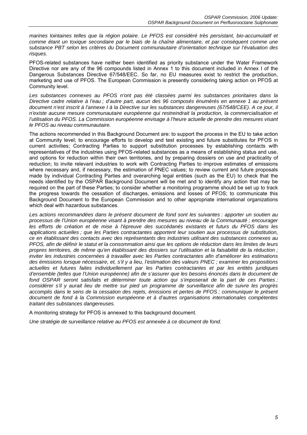*marines lointaines telles que la région polaire. Le PFOS est considéré très persistant, bio-accumulatif et comme étant un toxique secondaire par le biais de la chaîne alimentaire, et par conséquent comme une substance PBT selon les critères du Document communautaire d'orientation technique sur l'évaluation des risques.* 

PFOS-related substances have neither been identified as priority substance under the Water Framework Directive nor are any of the 96 compounds listed in Annex 1 to this document included in Annex I of the Dangerous Substances Directive 67/548/EEC. So far, no EU measures exist to restrict the production, marketing and use of PFOS. The European Commission is presently considering taking action on PFOS at Community level.

*Les substances connexes au PFOS n'ont pas été classées parmi les substances prioritaires dans la Directive cadre relative à l'eau ; d'autre part, aucun des 96 composés énumérés en annexe 1 au présent document n'est inscrit à l'annexe I à la Directive sur les substances dangereuses (67/548/CEE). A ce jour, il n'existe aucune mesure communautaire européenne qui restreindrait la production, la commercialisation et l'utilisation du PFOS. La Commission européenne envisage à l'heure actuelle de prendre des mesures visant le PFOS au niveau communautaire.* 

The actions recommended in this Background Document are: to support the process in the EU to take action at Community level; to encourage efforts to develop and test existing and future substitutes for PFOS in current activities; Contracting Parties to support substitution processes by establishing contacts with representatives of the industries using PFOS-related substances as a means of establishing status and use, and options for reduction within their own territories, and by preparing dossiers on use and practicality of reduction; to invite relevant industries to work with Contracting Parties to improve estimates of emissions where necessary and, if necessary, the estimation of PNEC values; to review current and future proposals made by individual Contracting Parties and overarching legal entities (such as the EU) to check that the needs identified by the OSPAR Background Document will be met and to identify any action that may be required on the part of these Parties; to consider whether a monitoring programme should be set up to track the progress towards the cessation of discharges, emissions and losses of PFOS; to communicate this Background Document to the European Commission and to other appropriate international organizations which deal with hazardous substances.

Les actions recommandées dans le présent document de fond sont les suivantes : apporter un soutien au *processus de l'Union européenne visant à prendre des mesures au niveau de la Communauté ; encourager*  les efforts de création et de mise à l'épreuve des succédanés existants et futurs du PFOS dans les *applications actuelles ; que les Parties contractantes apportent leur soutien aux processus de substitution, ce en établissant des contacts avec des représentants des industries utilisant des substances connexes au PFOS, afin de définir le statut et la consommation ainsi que les options de réduction dans les limites de leurs propres territoires, de même qu'en établissant des dossiers sur l'utilisation et la faisabilité de la réduction ; inviter les industries concernées à travailler avec les Parties contractantes afin d'améliorer les estimations des émissions lorsque nécessaire, et, s'il y a lieu, l'estimation des valeurs PNEC ; examiner les propositions actuelles et futures faites individuellement par les Parties contractantes et par les entités juridiques d'ensemble (telles que l'Union européenne) afin de s'assurer que les besoins énoncés dans le document de fond OSPAR seront satisfaits et déterminer toute action qui s'imposerait de la part de ces Parties ; considérer s'il y aurait lieu de mettre sur pied un programme de surveillance afin de suivre les progrès accomplis dans le sens de la cessation des rejets, émissions et pertes de PFOS ; communiquer le présent document de fond à la Commission européenne et à d'autres organisations internationales compétentes traitant des substances dangereuses.* 

A monitoring strategy for PFOS is annexed to this background document.

*Une stratégie de surveillance relative au PFOS est annexée à ce document de fond.*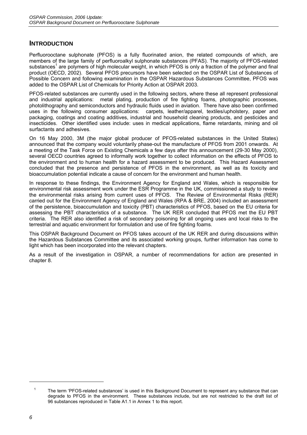# **INTRODUCTION**

Perfluorooctane sulphonate (PFOS) is a fully fluorinated anion, the related compounds of which, are members of the large family of perfluoroalkyl sulphonate substances (PFAS). The majority of PFOS-related substances<sup>1</sup> are polymers of high molecular weight, in which PFOS is only a fraction of the polymer and final product (OECD, 2002). Several PFOS precursors have been selected on the OSPAR List of Substances of Possible Concern and following examination in the OSPAR Hazardous Substances Committee, PFOS was added to the OSPAR List of Chemicals for Priority Action at OSPAR 2003.

PFOS-related substances are currently used in the following sectors, where these all represent professional and industrial applications: metal plating, production of fire fighting foams, photographic processes, photolithography and semiconductors and hydraulic fluids used in aviation. There have also been confirmed uses in the following consumer applications: carpets, leather/apparel, textiles/upholstery, paper and packaging, coatings and coating additives, industrial and household cleaning products, and pesticides and insecticides. Other identified uses include: uses in medical applications, flame retardants, mining and oil surfactants and adhesives.

On 16 May 2000, 3M (the major global producer of PFOS-related substances in the United States) announced that the company would voluntarily phase-out the manufacture of PFOS from 2001 onwards. At a meeting of the Task Force on Existing Chemicals a few days after this announcement (29-30 May 2000), several OECD countries agreed to informally work together to collect information on the effects of PFOS to the environment and to human health for a hazard assessment to be produced. This Hazard Assessment concluded that the presence and persistence of PFOS in the environment, as well as its toxicity and bioaccumulation potential indicate a cause of concern for the environment and human health.

In response to these findings, the Environment Agency for England and Wales, which is responsible for environmental risk assessment work under the ESR Programme in the UK, commissioned a study to review the environmental risks arising from current uses of PFOS. The Review of Environmental Risks (RER) carried out for the Environment Agency of England and Wales (RPA & BRE, 2004) included an assessment of the persistence, bioaccumulation and toxicity (PBT) characteristics of PFOS, based on the EU criteria for assessing the PBT characteristics of a substance. The UK RER concluded that PFOS met the EU PBT criteria. The RER also identified a risk of secondary poisoning for all ongoing uses and local risks to the terrestrial and aquatic environment for formulation and use of fire fighting foams.

This OSPAR Background Document on PFOS takes account of the UK RER and during discussions within the Hazardous Substances Committee and its associated working groups, further information has come to light which has been incorporated into the relevant chapters.

As a result of the investigation in OSPAR, a number of recommendations for action are presented in chapter 8.

<sup>1</sup> The term 'PFOS-related substances' is used in this Background Document to represent any substance that can degrade to PFOS in the environment. These substances include, but are not restricted to the draft list of 96 substances reproduced in Table A1.1 in Annex 1 to this report.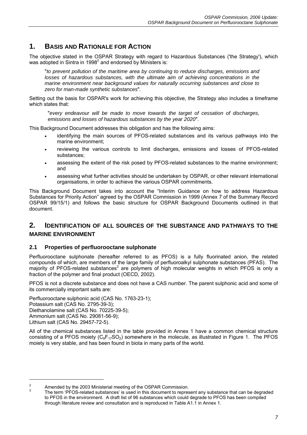# **1. BASIS AND RATIONALE FOR ACTION**

The objective stated in the OSPAR Strategy with regard to Hazardous Substances ('the Strategy'), which was adopted in Sintra in 1998<sup>2</sup> and endorsed by Ministers is:

"*to prevent pollution of the maritime area by continuing to reduce discharges, emissions and*  losses of hazardous substances, with the ultimate aim of achieving concentrations in the *marine environment near background values for naturally occurring substances and close to zero for man-made synthetic substances*".

Setting out the basis for OSPAR's work for achieving this objective, the Strategy also includes a timeframe which states that:

"*every endeavour will be made to move towards the target of cessation of discharges, emissions and losses of hazardous substances by the year 2020*".

This Background Document addresses this obligation and has the following aims:

- identifying the main sources of PFOS-related substances and its various pathways into the marine environment;
- reviewing the various controls to limit discharges, emissions and losses of PFOS-related substances;
- assessing the extent of the risk posed by PFOS-related substances to the marine environment; and
- assessing what further activities should be undertaken by OSPAR, or other relevant international organisations, in order to achieve the various OSPAR commitments.

This Background Document takes into account the "Interim Guidance on how to address Hazardous Substances for Priority Action" agreed by the OSPAR Commission in 1999 (Annex 7 of the Summary Record OSPAR 99/15/1) and follows the basic structure for OSPAR Background Documents outlined in that document.

# **2. IDENTIFICATION OF ALL SOURCES OF THE SUBSTANCE AND PATHWAYS TO THE MARINE ENVIRONMENT**

### **2.1 Properties of perfluorooctane sulphonate**

Perfluorooctane sulphonate (hereafter referred to as PFOS) is a fully fluorinated anion, the related compounds of which, are members of the large family of perfluoroalkyl sulphonate substances (PFAS). The majority of PFOS-related substances<sup>3</sup> are polymers of high molecular weights in which PFOS is only a fraction of the polymer and final product (OECD, 2002).

PFOS is not a discrete substance and does not have a CAS number. The parent sulphonic acid and some of its commercially important salts are:

Perfluorooctane sulphonic acid (CAS No. 1763-23-1); Potassium salt (CAS No. 2795-39-3); Diethanolamine salt (CAS No. 70225-39-5); Ammonium salt (CAS No. 29081-56-9); Lithium salt (CAS No. 29457-72-5).

All of the chemical substances listed in the table provided in Annex 1 have a common chemical structure consisting of a PFOS moiety ( $C_8F_{17}SO_2$ ) somewhere in the molecule, as illustrated in Figure 1. The PFOS moiety is very stable, and has been found in biota in many parts of the world.

<sup>2</sup>

Amended by the 2003 Ministerial meeting of the OSPAR Commission.<br><sup>3</sup> The term 'PFOS-related substances' is used in this document to represent any substance that can be degraded to PFOS in the environment. A draft list of 96 substances which could degrade to PFOS has been compiled through literature review and consultation and is reproduced in Table A1.1 in Annex 1.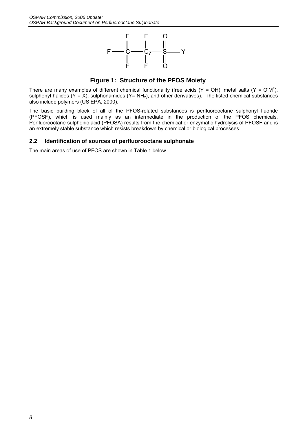

**Figure 1: Structure of the PFOS Moiety**

There are many examples of different chemical functionality (free acids  $(Y = OH)$ , metal salts  $(Y = OM^*)$ , sulphonyl halides (Y = X), sulphonamides (Y= NH<sub>2</sub>), and other derivatives). The listed chemical substances also include polymers (US EPA, 2000).

The basic building block of all of the PFOS-related substances is perfluorooctane sulphonyl fluoride (PFOSF), which is used mainly as an intermediate in the production of the PFOS chemicals. Perfluorooctane sulphonic acid (PFOSA) results from the chemical or enzymatic hydrolysis of PFOSF and is an extremely stable substance which resists breakdown by chemical or biological processes.

### **2.2 Identification of sources of perfluorooctane sulphonate**

The main areas of use of PFOS are shown in Table 1 below.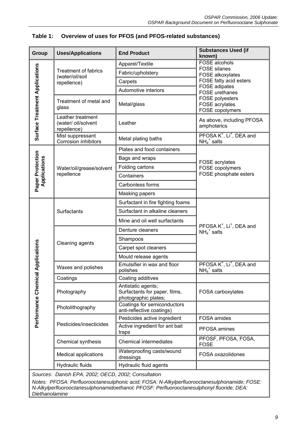| Group                                 | <b>Uses/Applications</b>                                | <b>End Product</b>                                                          | <b>Substances Used (if</b><br>known)                               |
|---------------------------------------|---------------------------------------------------------|-----------------------------------------------------------------------------|--------------------------------------------------------------------|
|                                       |                                                         | Apparel/Textile                                                             | FOSE alcohols                                                      |
|                                       | <b>Treatment of fabrics</b><br>(water/oil/soil          | Fabric/upholstery                                                           | <b>FOSE</b> silanes<br><b>FOSE alkoxylates</b>                     |
|                                       | repellence)                                             | Carpets                                                                     | FOSE fatty acid esters                                             |
|                                       |                                                         | Automotive interiors                                                        | <b>FOSE</b> adipates<br><b>FOSE</b> urethanes                      |
| <b>Surface Treatment Applications</b> | Treatment of metal and<br>glass                         | Metal/glass                                                                 | FOSE polyesters<br><b>FOSE</b> acrylates<br>FOSE copolymers        |
|                                       | Leather treatment<br>(water/ oil/solvent<br>repellence) | Leather                                                                     | As above, including PFOSA<br>amphoterics                           |
|                                       | Mist suppressant<br><b>Corrosion inhibitors</b>         | Metal plating baths                                                         | PFOSA K <sup>+</sup> , Li <sup>+</sup> , DEA and<br>$NH_4^+$ salts |
|                                       |                                                         | Plates and food containers                                                  |                                                                    |
|                                       |                                                         | Bags and wraps                                                              | FOSE acrylates                                                     |
|                                       | Water/oil/grease/solvent                                | Folding cartons                                                             | FOSE copolymers                                                    |
| Applications                          | repellence                                              | Containers                                                                  | FOSE phosphate esters                                              |
| Paper Protection                      |                                                         | Carbonless forms                                                            |                                                                    |
|                                       |                                                         | Masking papers                                                              |                                                                    |
|                                       |                                                         | Surfactant in fire fighting foams                                           |                                                                    |
|                                       | Surfactants                                             | Surfactant in alkaline cleaners                                             |                                                                    |
|                                       |                                                         | Mine and oil well surfactants                                               | PFOSA K <sup>+</sup> , Li <sup>+</sup> , DEA and                   |
|                                       |                                                         | Denture cleaners                                                            | $NH_4^+$ salts                                                     |
|                                       | Cleaning agents                                         | Shampoos                                                                    |                                                                    |
|                                       |                                                         | Carpet spot cleaners                                                        |                                                                    |
|                                       |                                                         | Mould release agents                                                        |                                                                    |
| al Applications                       | Waxes and polishes                                      | Emulsifier in wax and floor<br>polishes                                     | PFOSA K <sup>+</sup> , Li <sup>+</sup> , DEA and<br>$NH_4^+$ salts |
|                                       | Coatings                                                | Coating additives                                                           |                                                                    |
| Performance Chemic                    | Photography                                             | Antistatic agents;<br>Surfactants for paper, films,<br>photographic plates; | FOSA carboxylates                                                  |
|                                       | Photolithography                                        | Coatings for semiconductors<br>anti-reflective coatings)                    |                                                                    |
|                                       |                                                         | Pesticides active ingredient                                                | FOSA amides                                                        |
|                                       | Pesticides/insecticides                                 | Active ingredient for ant bait<br>traps                                     | PFOSA amines                                                       |
|                                       | Chemical synthesis                                      | <b>Chemical intermediates</b>                                               | PFOSF, PFOSA, FOSA,<br><b>FOSE</b>                                 |
|                                       | Medical applications                                    | Waterproofing casts/wound<br>dressings                                      | FOSA oxazolidones                                                  |
|                                       | Hydraulic fluids                                        | Hydraulic fluid agents                                                      |                                                                    |
|                                       | Sources: Danish EPA, 2002; OECD, 2002; Consultation     |                                                                             |                                                                    |

# **Table 1: Overview of uses for PFOS (and PFOS-related substances)**

*Notes: PFOSA: Perfluorooctanesulphonic acid; FOSA: N-Alkylperfluorooctanesulphonamide; FOSE: N-Alkylperfluorooctanesulphonamidoethanol; PFOSF: Perfluorooctanesulphonyl fluoride; DEA: Diethanolamine*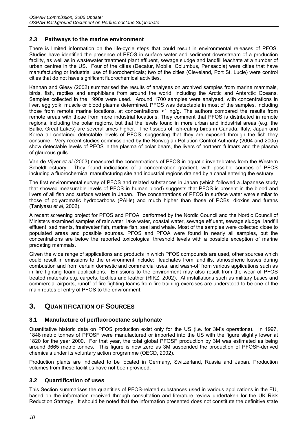### **2.3 Pathways to the marine environment**

There is limited information on the life-cycle steps that could result in environmental releases of PFOS. Studies have identified the presence of PFOS in surface water and sediment downstream of a production facility, as well as in wastewater treatment plant effluent, sewage sludge and landfill leachate at a number of urban centres in the US. Four of the cities (Decatur, Mobile, Columbus, Pensacola) were cities that have manufacturing or industrial use of fluorochemicals; two of the cities (Cleveland, Port St. Lucie) were control cities that do not have significant fluorochemical activities.

Kannan and Giesy (2002) summarised the results of analyses on archived samples from marine mammals, birds, fish, reptiles and amphibians from around the world, including the Arctic and Antarctic Oceans. Samples collected in the 1990s were used. Around 1700 samples were analysed, with concentrations in liver, egg yolk, muscle or blood plasma determined. PFOS was detectable in most of the samples, including those from remote marine locations, at concentrations >1 ng/g. The authors compared the results from remote areas with those from more industrial locations. They comment that PFOS is distributed in remote regions, including the polar regions, but that the levels found in more urban and industrial areas (e.g. the Baltic, Great Lakes) are several times higher. The tissues of fish-eating birds in Canada, Italy, Japan and Korea all contained detectable levels of PFOS, suggesting that they are exposed through the fish they consume. Very recent studies commissioned by the Norwegian Pollution Control Authority (2004 and 2005) show detectable levels of PFOS in the plasma of polar bears, the livers of northern fulmars and the plasma of glaucous gulls.

Van de Vijver *et al* (2003) measured the concentrations of PFOS in aquatic invertebrates from the Western Scheldt estuary. They found indications of a concentration gradient, with possible sources of PFOS including a fluorochemical manufacturing site and industrial regions drained by a canal entering the estuary.

The first environmental survey of PFOS and related substances in Japan (which followed a Japanese study that showed measurable levels of PFOS in human blood) suggests that PFOS is present in the blood and livers of all fish and surface waters in Japan. The concentrations of PFOS in surface water were similar to those of polyaromatic hydrocarbons (PAHs) and much higher than those of PCBs, dioxins and furans (Taniyasu *et al*, 2002).

A recent screening project for PFOS and PFOA performed by the Nordic Council and the Nordic Council of Ministers examined samples of rainwater, lake water, coastal water, sewage effluent, sewage sludge, landfill effluent, sediments, freshwater fish, marine fish, seal and whale. Most of the samples were collected close to populated areas and possible sources. PFOS and PFOA were found in nearly all samples, but the concentrations are below the reported toxicological threshold levels with a possible exception of marine predating mammals.

Given the wide range of applications and products in which PFOS compounds are used, other sources which could result in emissions to the environment include: leachates from landfills, atmospheric losses during combustion and from certain domestic and commercial uses, and wash-off from various applications such as in fire fighting foam applications. Emissions to the environment may also result from the wear of PFOS treated materials e.g. carpets, textiles and leather (RIKZ, 2002). At installations such as military bases and commercial airports, runoff of fire fighting foams from fire training exercises are understood to be one of the main routes of entry of PFOS to the environment.

# **3. QUANTIFICATION OF SOURCES**

# **3.1 Manufacture of perfluorooctane sulphonate**

Quantitative historic data on PFOS production exist only for the US (i.e. for 3M's operations). In 1997, 1848 metric tonnes of PFOSF were manufactured or imported into the US with the figure slightly lower at 1820 for the year 2000. For that year, the total global PFOSF production by 3M was estimated as being around 3665 metric tonnes. This figure is now zero as 3M suspended the production of PFOSF-derived chemicals under its voluntary action programme (OECD, 2002).

Production plants are indicated to be located in Germany, Switzerland, Russia and Japan. Production volumes from these facilities have not been provided.

### **3.2 Quantification of uses**

This Section summarises the quantities of PFOS-related substances used in various applications in the EU, based on the information received through consultation and literature review undertaken for the UK Risk Reduction Strategy. It should be noted that the information presented does not constitute the definitive state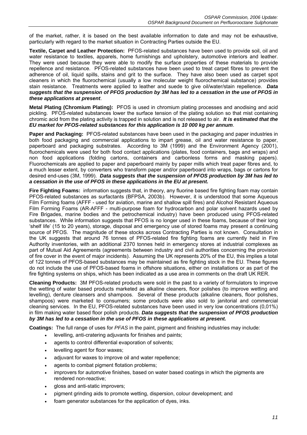of the market, rather, it is based on the best available information to date and may not be exhaustive, particularly with regard to the market situation in Contracting Parties outside the EU.

**Textile, Carpet and Leather Protection:** PFOS-related substances have been used to provide soil, oil and water resistance to textiles, apparels, home furnishings and upholstery, automotive interiors and leather. They were used because they were able to modify the surface properties of these materials to provide repellence and resistance. PFOS-related substances have been used to treat carpet fibres to prevent the adherence of oil, liquid spills, stains and grit to the surface. They have also been used as carpet spot cleaners in which the fluorochemical (usually a low molecular weight fluorochemical substance) provides stain resistance. Treatments were applied to leather and suede to give oil/water/stain repellence. *Data suggests that the suspension of PFOS production by 3M has led to a cessation in the use of PFOS in these applications at present*.

**Metal Plating (Chromium Plating):** PFOS is used in chromium plating processes and anodising and acid pickling. PFOS-related substances lower the surface tension of the plating solution so that mist containing chromic acid from the plating activity is trapped in solution and is not released to air. *It is estimated that the EU market for PFOS-related substances for this application is 10 000 kg per annum*.

**Paper and Packaging:** PFOS-related substances have been used in the packaging and paper industries in both food packaging and commercial applications to impart grease, oil and water resistance to paper, paperboard and packaging substrates. According to 3M (1999) and the Environment Agency (2001), fluorochemicals were used for both food contact applications (plates, food containers, bags and wraps) and non food applications (folding cartons, containers and carbonless forms and masking papers). Fluorochemicals are applied to paper and paperboard mainly by paper mills which treat paper fibres and, to a much lesser extent, by converters who transform paper and/or paperboard into wraps, bags or cartons for desired end-uses (3M, 1999). *Data suggests that the suspension of PFOS production by 3M has led to a cessation in the use of PFOS in these applications in the EU at present.* 

**Fire Fighting Foams:** information suggests that, in theory, any fluorine based fire fighting foam may contain PFOS-related substances as surfactants (BFPSA, 2003b). However, it is understood that some Aqueous Film Forming foams (AFFF - used for aviation, marine and shallow spill fires) and Alcohol Resistant Aqueous Film Forming Foams (AR-AFFF - multi-purpose foam for hydrocarbon and polar solvent hazards used by Fire Brigades, marine bodies and the petrochemical industry) have been produced using PFOS-related substances. While information suggests that PFOS is no longer used in these foams, because of their long 'shelf life' (15 to 20 years), storage, disposal and emergency use of stored foams may present a continuing source of PFOS. The magnitude of these stocks across Contracting Parties is not known. Consultation in the UK suggests that around 76 tonnes of PFOS-related fire fighting foams are currently held in Fire Authority inventories, with an additional 2370 tonnes held in emergency stores at industrial complexes as part of Mutual Aid Agreements (agreements between industry and civil authorities concerning the provision of fire cover in the event of major incidents). Assuming the UK represents 20% of the EU, this implies a total of 122 tonnes of PFOS-based substances may be maintained as fire fighting stock in the EU. These figures do not include the use of PFOS-based foams in offshore situations, either on installations or as part of the fire fighting systems on ships, which has been indicated as a use area in comments on the draft UK RER.

**Cleaning Products:** 3M PFOS-related products were sold in the past to a variety of formulators to improve the wetting of water based products marketed as alkaline cleaners, floor polishes (to improve wetting and levelling), denture cleansers and shampoos. Several of these products (alkaline cleaners, floor polishes, shampoos) were marketed to consumers; some products were also sold to janitorial and commercial cleaning services. In the EU, PFOS-related substances have been used in very low concentrations (0,01%) in film making water based floor polish products. *Data suggests that the suspension of PFOS production by 3M has led to a cessation in the use of PFOS in these applications at present.* 

**Coatings:** The full range of uses for *PFAS* in the paint, pigment and finishing industries may include:

- levelling, anti-cratering adjuvants for finishes and paints;
- agents to control differential evaporation of solvents;
- levelling agent for floor waxes;
- adjuvant for waxes to improve oil and water repellence;
- agents to combat pigment flotation problems;
- improvers for automotive finishes, based on water based coatings in which the pigments are rendered non-reactive;
- gloss and anti-static improvers;
- pigment grinding aids to promote wetting, dispersion, colour development; and
- foam generator substances for the application of dyes, inks.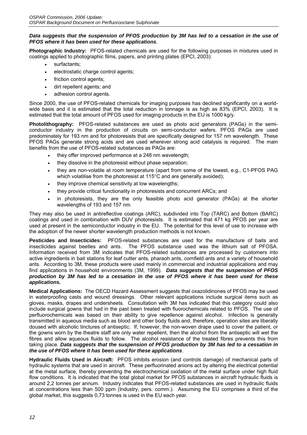#### *Data suggests that the suspension of PFOS production by 3M has led to a cessation in the use of PFOS where it has been used for these applications*.

**Photographic Industry:** PFOS-related chemicals are used for the following purposes in mixtures used in coatings applied to photographic films, papers, and printing plates (EPCI, 2003):

- surfactants:
- electrostatic charge control agents;
- friction control agents;
- dirt repellent agents; and
- adhesion control agents.

Since 2000, the use of PFOS-related chemicals for imaging purposes has declined significantly on a worldwide basis and it is estimated that the total reduction in tonnage is as high as 83% (EPCI, 2003). It is estimated that the total amount of PFOS used for imaging products in the EU is 1000 kg/y.

**Photolithography:** PFOS-related substances are used as photo acid generators (PAGs) in the semiconductor industry in the production of circuits on semi-conductor wafers. PFOS PAGs are used predominately for 193 nm and for photoresists that are specifically designed for 157 nm wavelength. These PFOS PAGs generate strong acids and are used wherever strong acid catalysis is required. The main benefits from the use of PFOS-related substances as PAGs are:

- they offer improved performance at a 248 nm wavelength;
- they dissolve in the photoresist without phase separation;
- they are non-volatile at room temperature (apart from some of the lowest, e.g., C1-PFOS PAG which volatilise from the photoresist at 115°C and are generally avoided);
- they improve chemical sensitivity at low wavelengths;
- they provide critical functionality in photoresists and concurrent ARCs; and
- in photoresists, they are the only feasible photo acid generator (PAGs) at the shorter wavelengths of 193 and 157 nm.

They may also be used in antireflective coatings (ARC), subdivided into Top (TARC) and Bottom (BARC) coatings and used in combination with DUV photoresists. It is estimated that 471 kg PFOS per year are used at present in the semiconductor industry in the EU. The potential for this level of use to increase with the adoption of the newer shorter wavelength production methods is not known.

**Pesticides and Insecticides:** PFOS-related substances are used for the manufacture of baits and insecticides against beetles and ants. The PFOS substance used was the lithium salt of PFOSA. Information received from 3M indicates that PFOS-related substances are processed by customers into active ingredients in bait stations for leaf cutter ants, pharaoh ants, cornfield ants and a variety of household ants. According to 3M, these products were used mainly in commercial and industrial applications and may find applications in household environments (3M, 1999). *Data suggests that the suspension of PFOS production by 3M has led to a cessation in the use of PFOS where it has been used for these applications.* 

**Medical Applications:** The OECD Hazard Assessment suggests that oxazolidinones of PFOS may be used in waterproofing casts and wound dressings. Other relevant applications include surgical items such as gloves, masks, drapes and undersheets. Consultation with 3M has indicated that this category could also include surgical gowns that had in the past been treated with fluorochemicals related to PFOS. The use of perfluorochemicals was based on their ability to give repellence against alcohol. Infection is generally transmitted in aqueous media such as blood and other body fluids and, therefore, operation sites are liberally doused with alcoholic tinctures of antiseptic. If, however, the non-woven drape used to cover the patient, or the gowns worn by the theatre staff are only water repellent, then the alcohol from the antiseptic will wet the fibres and allow aqueous fluids to follow. The alcohol resistance of the treated fibres prevents this from taking place. *Data suggests that the suspension of PFOS production by 3M has led to a cessation in the use of PFOS where it has been used for these applications*.

**Hydraulic Fluids Used in Aircraft:** PFOS inhibits erosion (and controls damage) of mechanical parts of hydraulic systems that are used in aircraft. These perfluorinated anions act by altering the electrical potential at the metal surface, thereby preventing the electrochemical oxidation of the metal surface under high fluid flow conditions. It is indicated that the total global market for PFOS substances in aircraft hydraulic fluids is around 2,2 tonnes per annum. Industry indicates that PFOS-related substances are used in hydraulic fluids at concentrations less than 500 ppm (Industry, pers. comm.). Assuming the EU comprises a third of the global market, this suggests 0,73 tonnes is used in the EU each year.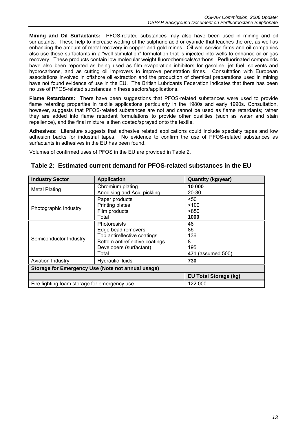**Mining and Oil Surfactants:** PFOS-related substances may also have been used in mining and oil surfactants. These help to increase wetting of the sulphuric acid or cyanide that leaches the ore, as well as enhancing the amount of metal recovery in copper and gold mines. Oil well service firms and oil companies also use these surfactants in a "well stimulation" formulation that is injected into wells to enhance oil or gas recovery. These products contain low molecular weight fluorochemicals/carbons. Perfluorinated compounds have also been reported as being used as film evaporation inhibitors for gasoline, jet fuel, solvents and hydrocarbons, and as cutting oil improvers to improve penetration times. Consultation with European associations involved in offshore oil extraction and the production of chemical preparations used in mining have not found evidence of use in the EU. The British Lubricants Federation indicates that there has been no use of PFOS-related substances in these sectors/applications.

**Flame Retardants:** There have been suggestions that PFOS-related substances were used to provide flame retarding properties in textile applications particularly in the 1980s and early 1990s. Consultation, however, suggests that PFOS-related substances are not and cannot be used as flame retardants; rather they are added into flame retardant formulations to provide other qualities (such as water and stain repellence), and the final mixture is then coated/sprayed onto the textile.

**Adhesives**: Literature suggests that adhesive related applications could include specialty tapes and low adhesion backs for industrial tapes. No evidence to confirm the use of PFOS-related substances as surfactants in adhesives in the EU has been found.

Volumes of confirmed uses of PFOS in the EU are provided in Table 2.

| <b>Industry Sector</b>                            | <b>Application</b>             | <b>Quantity (kg/year)</b> |  |  |  |  |
|---------------------------------------------------|--------------------------------|---------------------------|--|--|--|--|
| Metal Plating                                     | Chromium plating               | 10 000                    |  |  |  |  |
|                                                   | Anodising and Acid pickling    | 20-30                     |  |  |  |  |
|                                                   | Paper products                 | < 50                      |  |  |  |  |
| Photographic Industry                             | Printing plates                | < 100                     |  |  |  |  |
|                                                   | Film products                  | >850                      |  |  |  |  |
|                                                   | Total                          | 1000                      |  |  |  |  |
|                                                   | <b>Photoresists</b>            | 46                        |  |  |  |  |
|                                                   | Edge bead removers             | 86                        |  |  |  |  |
|                                                   | Top antireflective coatings    | 136                       |  |  |  |  |
| Semiconductor Industry                            | Bottom antireflective coatings | 8                         |  |  |  |  |
|                                                   | Developers (surfactant)        | 195                       |  |  |  |  |
|                                                   | Total                          | 471 (assumed 500)         |  |  |  |  |
| <b>Aviation Industry</b>                          | Hydraulic fluids               | 730                       |  |  |  |  |
| Storage for Emergency Use (Note not annual usage) |                                |                           |  |  |  |  |
| <b>EU Total Storage (kg)</b>                      |                                |                           |  |  |  |  |
| Fire fighting foam storage for emergency use      |                                | 122 000                   |  |  |  |  |

| Table 2: Estimated current demand for PFOS-related substances in the EU |
|-------------------------------------------------------------------------|
|-------------------------------------------------------------------------|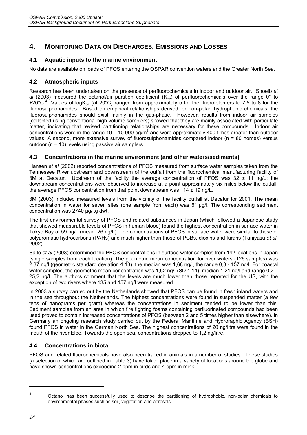# **4. MONITORING DATA ON DISCHARGES, EMISSIONS AND LOSSES**

# **4.1 Aquatic inputs to the marine environment**

No data are available on loads of PFOS entering the OSPAR convention waters and the Greater North Sea.

# **4.2 Atmospheric inputs**

Research has been undertaken on the presence of perfluorochemicals in indoor and outdoor air. Shoeib *et al* (2003) measured the octanol/air partition coefficient (K<sub>oa</sub>) of perfluorochemicals over the range 0° to +20°C.<sup>4</sup> Values of logK<sub>oa</sub> (at 20°C) ranged from approximately 5 for the fluorotelomers to 7,5 to 8 for the fluorosulphonamides. Based on empirical relationships derived for non-polar, hydrophobic chemicals, the fluorosulphonamides should exist mainly in the gas-phase. However, results from indoor air samples (collected using conventional high volume samplers) showed that they are mainly associated with particulate matter, indicating that revised partitioning relationships are necessary for these compounds. Indoor air concentrations were in the range 10 – 10 000 pg/m<sup>3</sup> and were approximately 400 times greater than outdoor values. A second, more extensive survey of fluorosulphonamides compared indoor ( $n = 80$  homes) versus outdoor (n = 10) levels using passive air samplers.

# **4.3 Concentrations in the marine environment (and other waters/sediments)**

Hansen *et al* (2002) reported concentrations of PFOS measured from surface water samples taken from the Tennessee River upstream and downstream of the outfall from the fluorochemical manufacturing facility of 3M at Decatur. Upstream of the facility the average concentration of PFOS was  $32 \pm 11$  ng/L; the downstream concentrations were observed to increase at a point approximately six miles below the outfall; the average PFOS concentration from that point downstream was  $114 \pm 19$  ng/L.

3M (2003) included measured levels from the vicinity of the facility outfall at Decatur for 2001. The mean concentration in water for seven sites (one sample from each) was 61 µg/l. The corresponding sediment concentration was 2740 µg/kg dwt.

The first environmental survey of PFOS and related substances in Japan (which followed a Japanese study that showed measurable levels of PFOS in human blood) found the highest concentration in surface water in Tokyo Bay at 59 ng/L (mean: 26 ng/L). The concentrations of PFOS in surface water were similar to those of polyaromatic hydrocarbons (PAHs) and much higher than those of PCBs, dioxins and furans (Taniyasu *et al*, 2002).

Saito *et al* (2003) determined the PFOS concentrations in surface water samples from 142 locations in Japan (single samples from each location). The geometric mean concentration for river waters (126 samples) was 2,37 ng/l (geometric standard deviation 4,13), the median was 1,68 ng/l, the range 0,3 - 157 ng/l. For coastal water samples, the geometric mean concentration was 1,52 ng/l (SD 4,14), median 1,21 ng/l and range 0,2 – 25,2 ng/l. The authors comment that the levels are much lower than those reported for the US, with the exception of two rivers where 135 and 157 ng/l were measured.

In 2003 a survey carried out by the Netherlands showed that PFOS can be found in fresh inland waters and in the sea throughout the Netherlands. The highest concentrations were found in suspended matter (a few tens of nanograms per gram) whereas the concentrations in sediment tended to be lower than this. Sediment samples from an area in which fire fighting foams containing perfluorinated compounds had been used proved to contain increased concentrations of PFOS (between 2 and 5 times higher than elsewhere). In Germany an ongoing research study carried out by the Federal Maritime and Hydroraphic Agency (BSH) found PFOS in water in the German North Sea. The highest concentrations of 20 ng/litre were found in the mouth of the river Elbe. Towards the open sea, concentrations dropped to 1,2 ng/litre.

# **4.4 Concentrations in biota**

PFOS and related fluorochemicals have also been traced in animals in a number of studies. These studies (a selection of which are outlined in Table 3) have taken place in a variety of locations around the globe and have shown concentrations exceeding 2 ppm in birds and 4 ppm in mink.

<sup>4</sup> Octanol has been successfully used to describe the partitioning of hydrophobic, non-polar chemicals to environmental phases such as soil, vegetation and aerosols.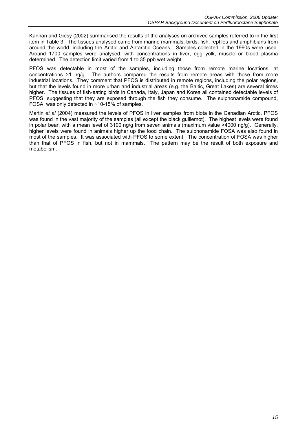Kannan and Giesy (2002) summarised the results of the analyses on archived samples referred to in the first item in Table 3. The tissues analysed came from marine mammals, birds, fish, reptiles and amphibians from around the world, including the Arctic and Antarctic Oceans. Samples collected in the 1990s were used. Around 1700 samples were analysed, with concentrations in liver, egg yolk, muscle or blood plasma determined. The detection limit varied from 1 to 35 ppb wet weight.

PFOS was detectable in most of the samples, including those from remote marine locations, at concentrations >1 ng/g. The authors compared the results from remote areas with those from more industrial locations. They comment that PFOS is distributed in remote regions, including the polar regions, but that the levels found in more urban and industrial areas (e.g. the Baltic, Great Lakes) are several times higher. The tissues of fish-eating birds in Canada, Italy, Japan and Korea all contained detectable levels of PFOS, suggesting that they are exposed through the fish they consume. The sulphonamide compound, FOSA, was only detected in ~10-15% of samples.

Martin *et al* (2004) measured the levels of PFOS in liver samples from biota in the Canadian Arctic. PFOS was found in the vast majority of the samples (all except the black guillemot). The highest levels were found in polar bear, with a mean level of 3100 ng/g from seven animals (maximum value >4000 ng/g). Generally, higher levels were found in animals higher up the food chain. The sulphonamide FOSA was also found in most of the samples. It was associated with PFOS to some extent. The concentration of FOSA was higher than that of PFOS in fish, but not in mammals. The pattern may be the result of both exposure and metabolism.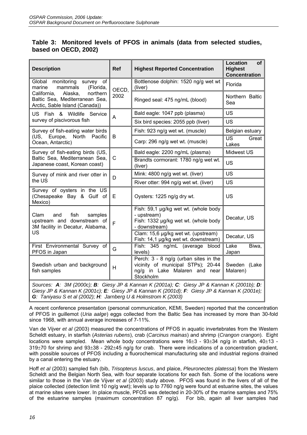# **Table 3: Monitored levels of PFOS in animals (data from selected studies, based on OECD, 2002)**

| <b>Description</b>                                                                                     | <b>Ref</b> | <b>Highest Reported Concentration</b>                                                                                     | <b>Location</b><br><b>of</b><br><b>Highest</b><br><b>Concentration</b> |  |  |
|--------------------------------------------------------------------------------------------------------|------------|---------------------------------------------------------------------------------------------------------------------------|------------------------------------------------------------------------|--|--|
| Global monitoring survey of<br>mammals<br>(Florida,<br>marine                                          | OECD,      | Bottlenose dolphin: 1520 ng/g wet wt<br>(liver)                                                                           | Florida                                                                |  |  |
| northern<br>California,<br>Alaska,<br>Baltic Sea, Mediterranean Sea,<br>Arctic, Sable Island (Canada)) | 2002       | Ringed seal: 475 ng/mL (blood)                                                                                            | Northern Baltic<br>Sea                                                 |  |  |
| US Fish & Wildlife Service                                                                             | A          | Bald eagle: 1047 ppb (plasma)                                                                                             | <b>US</b>                                                              |  |  |
| survey of piscivorous fish                                                                             |            | Six bird species: 2055 ppb (liver)                                                                                        | <b>US</b>                                                              |  |  |
| Survey of fish-eating water birds                                                                      |            | Fish: 923 ng/g wet wt. (muscle)                                                                                           | Belgian estuary                                                        |  |  |
| (US, Europe, North<br>Pacific<br>Ocean, Antarctic)                                                     | B          | Carp: 296 ng/g wet wt. (muscle)                                                                                           | <b>US</b><br>Great<br>Lakes                                            |  |  |
| Survey of fish-eating birds (US,                                                                       |            | Bald eagle: 2200 ng/mL (plasma)                                                                                           | Midwest US                                                             |  |  |
| Baltic Sea, Mediterranean Sea,<br>Japanese coast, Korean coast)                                        | C          | Brandts cormorant: 1780 ng/g wet wt.<br>(liver)                                                                           | <b>US</b>                                                              |  |  |
| Survey of mink and river otter in                                                                      | D          | Mink: 4800 ng/g wet wt. (liver)                                                                                           | <b>US</b>                                                              |  |  |
| the US                                                                                                 |            | River otter: 994 ng/g wet wt. (liver)                                                                                     | <b>US</b>                                                              |  |  |
| Survey of oysters in the US<br>(Chesapeake Bay & Gulf of<br>Mexico)                                    | Е          | Oysters: 1225 ng/g dry wt.                                                                                                | <b>US</b>                                                              |  |  |
| Clam<br>fish<br>and<br>samples<br>upstream and downstream of<br>3M facility in Decatur, Alabama,       | F          | Fish: 59,1 µg/kg wet wt. (whole body<br>- upstream)<br>Fish: 1332 µg/kg wet wt. (whole body<br>- downstream)              | Decatur, US                                                            |  |  |
| US                                                                                                     |            | Clam: 15,6 µg/kg wet wt. (upstream)<br>Fish: 14,1 µg/kg wet wt. downstream)                                               | Decatur, US                                                            |  |  |
| First Environmental Survey of<br>PFOS in Japan                                                         | G          | Fish: 345 ng/mL (average blood<br>levels)                                                                                 | $\overline{\mathsf{Take}}$<br>Biwa,<br>Japan                           |  |  |
| Swedish urban and background<br>fish samples                                                           | H          | Perch: 3 - 8 ng/g (urban sites in the<br>vicinity of municipal STPs); 20-44<br>ng/g in Lake Malaren and near<br>Stockholm | Sweden (Lake<br>Malaren)                                               |  |  |
| Sources: A: 3M (2000c); B: Giesy JP & Kannan K (2001a); C: Giesy JP & Kannan K (2001b); D:             |            |                                                                                                                           |                                                                        |  |  |

*Giesy JP & Kannan K (2001c); E: Giesy JP & Kannan K (2001d); F: Giesy JP & Kannan K (2001e); G: Taniyasu S et al (2002); H: Jarnberg U & Holmstrom K (2003)*

A recent conference presentation (personal communication, KEMI, Sweden) reported that the concentration of PFOS in guillemot (*Uria aalge*) eggs collected from the Baltic Sea has increased by more than 30-fold since 1968, with annual average increases of 7-11%.

Van de Vijver *et al* (2003) measured the concentrations of PFOS in aquatic invertebrates from the Western Scheldt estuary, in starfish (*Asterias rubens*), crab (*Carcinus mainas*) and shrimp (*Crangon crangon*). Eight locations were sampled. Mean whole body concentrations were  $16\pm3$  - 93 $\pm34$  ng/g in starfish, 40 $\pm13$  -319±70 for shrimp and 93±38 - 292±45 ng/g for crab. There were indications of a concentration gradient, with possible sources of PFOS including a fluorochemical manufacturing site and industrial regions drained by a canal entering the estuary.

Hoff *et al* (2003) sampled fish (bib, *Trisopterus luscus*, and plaice, *Pleuronectes platessa*) from the Western Scheldt and the Belgian North Sea, with four separate locations for each fish. Some of the locations were similar to those in the Van de Vijver *et al* (2003) study above. PFOS was found in the livers of all of the plaice collected (detection limit 10 ng/g wwt); levels up to 7760 ng/g were found at estuarine sites, the values at marine sites were lower. In plaice muscle, PFOS was detected in 20-30% of the marine samples and 75% of the estuarine samples (maximum concentration 87 ng/g). For bib, again all liver samples had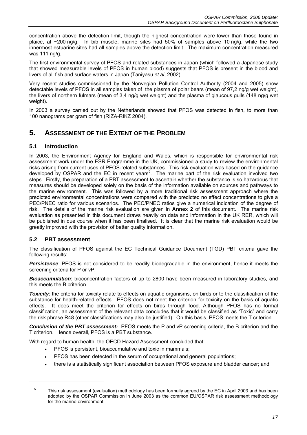concentration above the detection limit, though the highest concentration were lower than those found in plaice, at ~200 ng/g. In bib muscle, marine sites had 50% of samples above 10 ng/g, while the two innermost estuarine sites had all samples above the detection limit. The maximum concentration measured was 111 ng/g.

The first environmental survey of PFOS and related substances in Japan (which followed a Japanese study that showed measurable levels of PFOS in human blood) suggests that PFOS is present in the blood and livers of all fish and surface waters in Japan (Taniyasu *et al*, 2002).

Very recent studies commissioned by the Norwegian Pollution Control Authority (2004 and 2005) show detectable levels of PFOS in all samples taken of the plasma of polar bears (mean of 97,2 ng/g wet weight), the livers of northern fulmars (mean of 3,4 ng/g wet weight) and the plasma of glaucous gulls (148 ng/g wet weight).

In 2003 a survey carried out by the Netherlands showed that PFOS was detected in fish, to more than 100 nanograms per gram of fish (RIZA-RIKZ 2004).

# **5. ASSESSMENT OF THE EXTENT OF THE PROBLEM**

### **5.1 Introduction**

In 2003, the Environment Agency for England and Wales, which is responsible for environmental risk assessment work under the ESR Programme in the UK, commissioned a study to review the environmental risks arising from current uses of PFOS-related substances. This risk evaluation was based on the guidance developed by OSPAR and the EC in recent years<sup>5</sup>. The marine part of the risk evaluation involved two steps. Firstly, the preparation of a PBT assessment to ascertain whether the substance is so hazardous that measures should be developed solely on the basis of the information available on sources and pathways to the marine environment. This was followed by a more traditional risk assessment approach where the predicted environmental concentrations were compared with the predicted no effect concentrations to give a PEC/PNEC ratio for various scenarios. The PEC/PNEC ratios give a numerical indication of the degree of risk. The details of the marine risk evaluation are given in **Annex 2** of this document. The marine risk evaluation as presented in this document draws heavily on data and information in the UK RER, which will be published in due course when it has been finalised. It is clear that the marine risk evaluation would be greatly improved with the provision of better quality information.

### **5.2 PBT assessment**

The classification of PFOS against the EC Technical Guidance Document (TGD) PBT criteria gave the following results:

**Persistence**: PFOS is not considered to be readily biodegradable in the environment, hence it meets the screening criteria for P or vP.

*Bioaccumulation*: bioconcentration factors of up to 2800 have been measured in laboratory studies, and this meets the B criterion.

*Toxicity*: the criteria for toxicity relate to effects on aquatic organisms, on birds or to the classification of the substance for health-related effects. PFOS does not meet the criterion for toxicity on the basis of aquatic effects. It does meet the criterion for effects on birds through food. Although PFOS has no formal classification, an assessment of the relevant data concludes that it would be classified as "Toxic" and carry the risk phrase R48 (other classifications may also be justified). On this basis, PFOS meets the T criterion.

**Conclusion of the PBT assessment:** PFOS meets the P and vP screening criteria, the B criterion and the T criterion. Hence overall, PFOS is a PBT substance.

With regard to human health, the OECD Hazard Assessment concluded that:

- PFOS is persistent, bioaccumulative and toxic in mammals;
- PFOS has been detected in the serum of occupational and general populations;
- there is a statistically significant association between PFOS exposure and bladder cancer; and

<sup>5</sup> This risk assessment (evaluation) methodology has been formally agreed by the EC in April 2003 and has been adopted by the OSPAR Commission in June 2003 as the common EU/OSPAR risk assessment methodology for the marine environment.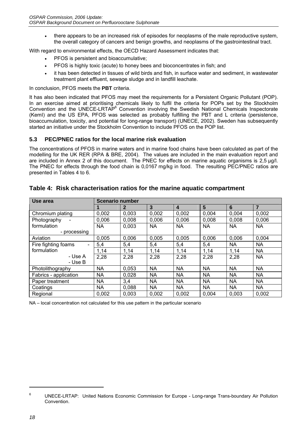• there appears to be an increased risk of episodes for neoplasms of the male reproductive system, the overall category of cancers and benign growths, and neoplasms of the gastrointestinal tract.

With regard to environmental effects, the OECD Hazard Assessment indicates that:

- PFOS is persistent and bioaccumulative;
- PFOS is highly toxic (acute) to honey bees and bioconcentrates in fish; and
- it has been detected in tissues of wild birds and fish, in surface water and sediment, in wastewater treatment plant effluent, sewage sludge and in landfill leachate.

In conclusion, PFOS meets the **PBT** criteria.

It has also been indicated that PFOS may meet the requirements for a Persistent Organic Pollutant (POP). In an exercise aimed at prioritising chemicals likely to fulfil the criteria for POPs set by the Stockholm Convention and the UNECE-LRTAP<sup>6</sup> Convention involving the Swedish National Chemicals Inspectorate (KemI) and the US EPA, PFOS was selected as probably fulfilling the PBT and L criteria (persistence, bioaccumulation, toxicity, and potential for long-range transport) (UNECE, 2002). Sweden has subsequently started an initiative under the Stockholm Convention to include PFOS on the POP list.

#### **5.3 PEC/PNEC ratios for the local marine risk evaluation**

The concentrations of PFOS in marine waters and in marine food chains have been calculated as part of the modelling for the UK RER (RPA & BRE, 2004). The values are included in the main evaluation report and are included in Annex 2 of this document. The PNEC for effects on marine aquatic organisms is 2,5 µg/l. The PNEC for effects through the food chain is 0,0167 mg/kg in food. The resulting PEC/PNEC ratios are presented in Tables 4 to 6.

| Use area              | <b>Scenario number</b> |              |           |                |           |           |                |  |  |
|-----------------------|------------------------|--------------|-----------|----------------|-----------|-----------|----------------|--|--|
|                       |                        | $\mathbf{2}$ | 3         | $\overline{4}$ | 5         | 6         | $\overline{7}$ |  |  |
| Chromium plating      | 0.002                  | 0.003        | 0,002     | 0,002          | 0,004     | 0.004     | 0,002          |  |  |
| Photography           | 0,006                  | 0,008        | 0,006     | 0,006          | 0,008     | 0,008     | 0,006          |  |  |
| formulation           | <b>NA</b>              | 0.003        | <b>NA</b> | <b>NA</b>      | <b>NA</b> | <b>NA</b> | <b>NA</b>      |  |  |
| - processing          |                        |              |           |                |           |           |                |  |  |
| Aviation              | 0.005                  | 0.006        | 0.005     | 0.005          | 0,006     | 0,006     | 0,004          |  |  |
| Fire fighting foams   | 5,4                    | 5,4          | 5,4       | 5,4            | 5,4       | <b>NA</b> | <b>NA</b>      |  |  |
| formulation           | 1,14                   | 1,14         | 1,14      | 1,14           | 1,14      | 1,14      | <b>NA</b>      |  |  |
| - Use A               | 2,28                   | 2,28         | 2,28      | 2,28           | 2,28      | 2,28      | <b>NA</b>      |  |  |
| - Use B               |                        |              |           |                |           |           |                |  |  |
| Photolithography      | <b>NA</b>              | 0,053        | NA        | NA             | <b>NA</b> | <b>NA</b> | <b>NA</b>      |  |  |
| Fabrics - application | <b>NA</b>              | 0.028        | <b>NA</b> | <b>NA</b>      | <b>NA</b> | <b>NA</b> | <b>NA</b>      |  |  |
| Paper treatment       | <b>NA</b>              | 3,4          | NA.       | <b>NA</b>      | <b>NA</b> | <b>NA</b> | <b>NA</b>      |  |  |
| Coatings              | <b>NA</b>              | 0,088        | NA        | NA             | <b>NA</b> | <b>NA</b> | <b>NA</b>      |  |  |
| Regional              | 0.002                  | 0.003        | 0,002     | 0.002          | 0.004     | 0,003     | 0.002          |  |  |

### **Table 4: Risk characterisation ratios for the marine aquatic compartment**

NA – local concentration not calculated for this use pattern in the particular scenario

<sup>6</sup> UNECE-LRTAP: United Nations Economic Commission for Europe - Long-range Trans-boundary Air Pollution Convention.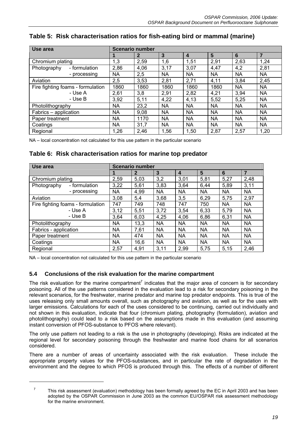| Use area                          | <b>Scenario number</b> |              |           |                         |                |           |                |
|-----------------------------------|------------------------|--------------|-----------|-------------------------|----------------|-----------|----------------|
|                                   |                        | $\mathbf{2}$ | 3         | $\overline{\mathbf{4}}$ | $5\phantom{1}$ | 6         | $\overline{7}$ |
| Chromium plating                  | 1,3                    | 2,59         | 1,6       | 1,51                    | 2,91           | 2,63      | 1,24           |
| Photography<br>- formulation      | 2,86                   | 4,06         | 3,17      | 3,07                    | 4,47           | 4,2       | 2,81           |
| - processing                      | NA                     | 2,5          | <b>NA</b> | <b>NA</b>               | <b>NA</b>      | <b>NA</b> | <b>NA</b>      |
| Aviation                          | 2,5                    | 3,53         | 2,81      | 2,71                    | 4,11           | 3,84      | 2,45           |
| Fire fighting foams - formulation | 1860                   | 1860         | 1860      | 1860                    | 1860           | <b>NA</b> | <b>NA</b>      |
| - Use A                           | 2,61                   | 3,8          | 2,91      | 2,82                    | 4,21           | 3,94      | <b>NA</b>      |
| - Use B                           | 3,92                   | 5,11         | 4,22      | 4,13                    | 5,52           | 5,25      | <b>NA</b>      |
| Photolithography                  | <b>NA</b>              | 23,2         | <b>NA</b> | <b>NA</b>               | <b>NA</b>      | <b>NA</b> | <b>NA</b>      |
| Fabrics - application             | <b>NA</b>              | 9,08         | <b>NA</b> | <b>NA</b>               | <b>NA</b>      | <b>NA</b> | <b>NA</b>      |
| Paper treatment                   | NA                     | 1170         | <b>NA</b> | <b>NA</b>               | <b>NA</b>      | <b>NA</b> | <b>NA</b>      |
| Coatings                          | <b>NA</b>              | 31,7         | <b>NA</b> | <b>NA</b>               | <b>NA</b>      | <b>NA</b> | <b>NA</b>      |
| Regional                          | 1,26                   | 2,46         | 1,56      | 1,50                    | 2,87           | 2,57      | 1,20           |

# **Table 5: Risk characterisation ratios for fish-eating bird or mammal (marine)**

NA – local concentration not calculated for this use pattern in the particular scenario

# **Table 6: Risk characterisation ratios for marine top predator**

| Use area                          | <b>Scenario number</b> |           |                |           |                         |           |           |                |
|-----------------------------------|------------------------|-----------|----------------|-----------|-------------------------|-----------|-----------|----------------|
|                                   |                        |           | $\overline{2}$ | 3         | $\overline{\mathbf{4}}$ | 5         | 6         | $\overline{7}$ |
| Chromium plating                  |                        | 2,59      | 5,03           | 3,2       | 3,01                    | 5,81      | 5,27      | 2,48           |
| Photography                       | - formulation          | 3,22      | 5,61           | 3,83      | 3,64                    | 6,44      | 5,89      | 3,11           |
|                                   | - processing           | <b>NA</b> | 4,99           | <b>NA</b> | <b>NA</b>               | <b>NA</b> | <b>NA</b> | <b>NA</b>      |
| Aviation                          |                        | 3,08      | 5,4            | 3,68      | 3,5                     | 6,29      | 5,75      | 2,97           |
| Fire fighting foams - formulation |                        | 747       | 749            | 748       | 747                     | 750       | <b>NA</b> | <b>NA</b>      |
|                                   | - Use A                | 3,12      | 5,51           | 3,72      | 3,54                    | 6,33      | 5,79      | <b>NA</b>      |
|                                   | - Use B                | 3,64      | 6,03           | 4,25      | 4,06                    | 6,86      | 6,31      | <b>NA</b>      |
| Photolithography                  |                        | <b>NA</b> | 13,3           | <b>NA</b> | <b>NA</b>               | <b>NA</b> | <b>NA</b> | <b>NA</b>      |
| Fabrics - application             |                        | <b>NA</b> | 7,61           | <b>NA</b> | <b>NA</b>               | <b>NA</b> | <b>NA</b> | <b>NA</b>      |
| Paper treatment                   |                        | <b>NA</b> | 474            | <b>NA</b> | <b>NA</b>               | <b>NA</b> | <b>NA</b> | <b>NA</b>      |
| Coatings                          |                        | <b>NA</b> | 16,6           | <b>NA</b> | <b>NA</b>               | <b>NA</b> | <b>NA</b> | <b>NA</b>      |
| Regional                          |                        | 2,57      | 4,91           | 3,11      | 2,99                    | 5,75      | 5,15      | 2,46           |

NA – local concentration not calculated for this use pattern in the particular scenario

### **5.4 Conclusions of the risk evaluation for the marine compartment**

The risk evaluation for the marine compartment<sup>7</sup> indicates that the major area of concern is for secondary poisoning. All of the use patterns considered in the evaluation lead to a risk for secondary poisoning in the relevant scenarios, for the freshwater, marine predator and marine top predator endpoints. This is true of the uses releasing only small amounts overall, such as photography and aviation, as well as for the uses with larger emissions. Calculations for each of the uses considered to be continuing, carried out individually and not shown in this evaluation, indicate that four (chromium plating, photography (formulation), aviation and photolithography) could lead to a risk based on the assumptions made in this evaluation (and assuming instant conversion of PFOS-substance to PFOS where relevant).

The only use pattern not leading to a risk is the use in photography (developing). Risks are indicated at the regional level for secondary poisoning through the freshwater and marine food chains for all scenarios considered.

There are a number of areas of uncertainty associated with the risk evaluation. These include the appropriate property values for the PFOS-substances, and in particular the rate of degradation in the environment and the degree to which PFOS is produced through this. The effects of a number of different

<sup>7</sup> This risk assessment (evaluation) methodology has been formally agreed by the EC in April 2003 and has been adopted by the OSPAR Commission in June 2003 as the common EU/OSPAR risk assessment methodology for the marine environment.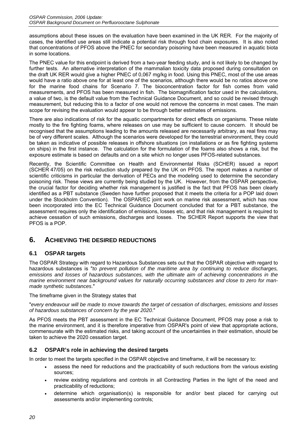assumptions about these issues on the evaluation have been examined in the UK RER. For the majority of cases, the identified use areas still indicate a potential risk through food chain exposures. It is also noted that concentrations of PFOS above the PNEC for secondary poisoning have been measured in aquatic biota in some locations.

The PNEC value for this endpoint is derived from a two-year feeding study, and is not likely to be changed by further tests. An alternative interpretation of the mammalian toxicity data proposed during consultation on the draft UK RER would give a higher PNEC of 0,067 mg/kg in food. Using this PNEC, most of the use areas would have a ratio above one for at least one of the scenarios, although there would be no ratios above one for the marine food chains for Scenario 7. The bioconcentration factor for fish comes from valid measurements, and PFOS has been measured in fish. The biomagnification factor used in the calculations, a value of two, is the default value from the Technical Guidance Document, and so could be revised through measurement, but reducing this to a factor of one would not remove the concerns in most cases. The main scope for revising the evaluation would appear to be through better estimates of emissions.

There are also indications of risk for the aquatic compartments for direct effects on organisms. These relate mostly to the fire fighting foams, where releases on use may be sufficient to cause concern. It should be recognised that the assumptions leading to the amounts released are necessarily arbitrary, as real fires may be of very different scales. Although the scenarios were developed for the terrestrial environment, they could be taken as indicative of possible releases in offshore situations (on installations or as fire fighting systems on ships) in the first instance. The calculation for the formulation of the foams also shows a risk, but the exposure estimate is based on defaults and on a site which no longer uses PFOS-related substances.

Recently, the Scientific Committee on Health and Environmental Risks (SCHER) issued a report (SCHER 47/05) on the risk reduction study prepared by the UK on PFOS. The report makes a number of scientific criticisms in particular the derivation of PECs and the modeling used to determine the secondary poisoning risk. These views are currently being studied by the UK. However, from the OSPAR perspective, the crucial factor for deciding whether risk management is justified is the fact that PFOS has been clearly identified as a PBT substance (Sweden have further proposed that it meets the criteria for a POP laid down under the Stockholm Convention). The OSPAR/EC joint work on marine risk assessment, which has now been incorporated into the EC Technical Guidance Document concluded that for a PBT substance, the assessment requires only the identification of emissions, losses etc, and that risk management is required to achieve cessation of such emissions, discharges and losses. The SCHER Report supports the view that PFOS is a POP.

# **6. ACHIEVING THE DESIRED REDUCTIONS**

# **6.1 OSPAR targets**

The OSPAR Strategy with regard to Hazardous Substances sets out that the OSPAR objective with regard to hazardous substances is "*to prevent pollution of the maritime area by continuing to reduce discharges, emissions and losses of hazardous substances, with the ultimate aim of achieving concentrations in the marine environment near background values for naturally occurring substances and close to zero for manmade synthetic substances*."

The timeframe given in the Strategy states that

"*every endeavour will be made to move towards the target of cessation of discharges, emissions and losses of hazardous substances of concern by the year 2020*."

As PFOS meets the PBT assessment in the EC Technical Guidance Document, PFOS may pose a risk to the marine environment, and it is therefore imperative from OSPAR's point of view that appropriate actions, commensurate with the estimated risks, and taking account of the uncertainties in their estimation, should be taken to achieve the 2020 cessation target.

# **6.2 OSPAR's role in achieving the desired targets**

In order to meet the targets specified in the OSPAR objective and timeframe, it will be necessary to:

- assess the need for reductions and the practicability of such reductions from the various existing sources;
- review existing regulations and controls in all Contracting Parties in the light of the need and practicability of reductions;
- determine which organisation(s) is responsible for and/or best placed for carrying out assessments and/or implementing controls;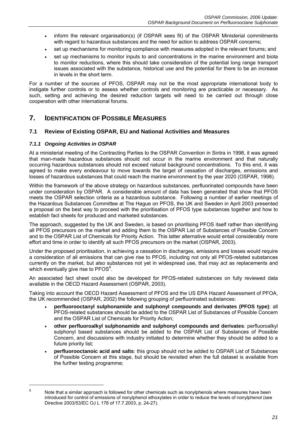- inform the relevant organisation(s) (if OSPAR sees fit) of the OSPAR Ministerial commitments with regard to hazardous substances and the need for action to address OSPAR concerns;
- set up mechanisms for monitoring compliance with measures adopted in the relevant forums; and
- set up mechanisms to monitor inputs to and concentrations in the marine environment and biota to monitor reductions, where this should take consideration of the potential long range transport issues associated with the substance, historical use and the potential for there to be an increase in levels in the short term.

For a number of the sources of PFOS, OSPAR may not be the most appropriate international body to instigate further controls or to assess whether controls and monitoring are practicable or necessary. As such, setting and achieving the desired reduction targets will need to be carried out through close cooperation with other international forums.

# **7. IDENTIFICATION OF POSSIBLE MEASURES**

### **7.1 Review of Existing OSPAR, EU and National Activities and Measures**

#### *7.1.1 Ongoing Activities in OSPAR*

At a ministerial meeting of the Contracting Parties to the OSPAR Convention in Sintra in 1998, it was agreed that man-made hazardous substances should not occur in the marine environment and that naturally occurring hazardous substances should not exceed natural background concentrations. To this end, it was agreed to make every endeavour to move towards the target of cessation of discharges, emissions and losses of hazardous substances that could reach the marine environment by the year 2020 (OSPAR, 1998).

Within the framework of the above strategy on hazardous substances, perfluorinated compounds have been under consideration by OSPAR. A considerable amount of data has been generated that show that PFOS meets the OSPAR selection criteria as a hazardous substance. Following a number of earlier meetings of the Hazardous Substances Committee at The Hague on PFOS, the UK and Sweden in April 2003 presented a proposal on the best way to proceed with the prioritisation of PFOS type substances together and how to establish fact sheets for produced and marketed substances.

The approach, suggested by the UK and Sweden, is based on prioritising PFOS itself rather than identifying all PFOS precursors on the market and adding them to the OSPAR List of Substances of Possible Concern and to the OSPAR List of Chemicals for Priority Action. This latter alternative would entail considerably more effort and time in order to identify all such PFOS precursors on the market (OSPAR, 2003).

Under the proposed prioritisation, in achieving a cessation in discharges, emissions and losses would require a consideration of all emissions that can give rise to PFOS, including not only all PFOS-related substances currently on the market, but also substances not yet in widespread use, that may act as replacements and which eventually give rise to  $PFOS<sup>8</sup>$ .

An associated fact sheet could also be developed for PFOS-related substances on fully reviewed data available in the OECD Hazard Assessment (OSPAR, 2003).

Taking into account the OECD Hazard Assessment of PFOS and the US EPA Hazard Assessment of PFOA, the UK recommended (OSPAR, 2002) the following grouping of perfluorinated substances:

- **perfluorooctanyl sulphonamide and sulphonyl compounds and derivates (PFOS type)**: all PFOS-related substances should be added to the OSPAR List of Substances of Possible Concern and the OSPAR List of Chemicals for Priority Action;
- **other perfluoroalkyl sulphonamide and sulphonyl compounds and derivates**: perfluoroalkyl sulphonyl based substances should be added to the OSPAR List of Substances of Possible Concern, and discussions with industry initiated to determine whether they should be added to a future priority list;
- **perfluorooctanoic acid and salts**: this group should not be added to OSPAR List of Substances of Possible Concern at this stage, but should be revisited when the full dataset is available from the further testing programme;

 8

Note that a similar approach is followed for other chemicals such as nonylphenols where measures have been introduced for control of emissions of nonylphenol ethoxylates in order to reduce the levels of nonylphenol (see Directive 2003/53/EC OJ L 178 of 17.7.2003, p. 24-27).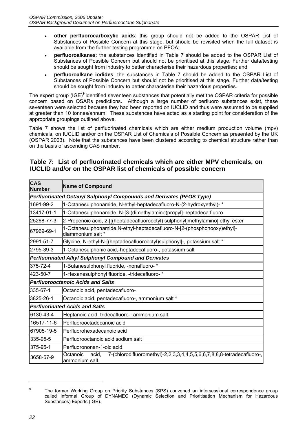- **other perfluorocarboxylic acids**: this group should not be added to the OSPAR List of Substances of Possible Concern at this stage, but should be revisited when the full dataset is available from the further testing programme on PFOA;
- **perfluoroalkanes**: the substances identified in Table 7 should be added to the OSPAR List of Substances of Possible Concern but should not be prioritised at this stage. Further data/testing should be sought from industry to better characterise their hazardous properties; and
- **perfluoroalkane iodides**: the substances in Table 7 should be added to the OSPAR List of Substances of Possible Concern but should not be prioritised at this stage. Further data/testing should be sought from industry to better characterise their hazardous properties.

The expert group (IGE)**<sup>9</sup>** identified seventeen substances that potentially met the OSPAR criteria for possible concern based on QSARs predictions. Although a large number of perfluoro substances exist, these seventeen were selected because they had been reported on IUCLID and thus were assumed to be supplied at greater than 10 tonnes/annum. These substances have acted as a starting point for consideration of the appropriate groupings outlined above.

Table 7 shows the list of perfluorinated chemicals which are either medium production volume (mpv) chemicals, on IUCLID and/or on the OSPAR List of Chemicals of Possible Concern as presented by the UK (OSPAR 2003). Note that the substances have been clustered according to chemical structure rather than on the basis of ascending CAS number.

| <b>CAS</b><br><b>Number</b> | Name of Compound                                                                                             |  |  |  |  |  |  |
|-----------------------------|--------------------------------------------------------------------------------------------------------------|--|--|--|--|--|--|
|                             | Perfluorinated Octanyl Sulphonyl Compounds and Derivates (PFOS Type)                                         |  |  |  |  |  |  |
| 1691-99-2                   | 1-Octanesulphonamide, N-ethyl-heptadecafluoro-N-(2-hydroxyethyl)- *                                          |  |  |  |  |  |  |
| 13417-01-1                  | 1-Octanesulphonamide, N-[3-(dimethylamino)propyl]-heptadeca fluoro                                           |  |  |  |  |  |  |
| 25268-77-3                  | 2-Propenoic acid, 2-[[(heptadecafluorooctyl) sulphonyl]methylamino] ethyl ester                              |  |  |  |  |  |  |
| 67969-69-1                  | 1-Octanesulphonamide, N-ethyl-heptadecafluoro-N-[2-(phosphonooxy)ethyl]-<br>ldiammonium salt *               |  |  |  |  |  |  |
| 2991-51-7                   | Glycine, N-ethyl-N-[(heptadecafluorooctyl)sulphonyl]-, potassium salt *                                      |  |  |  |  |  |  |
| 2795-39-3                   | 1-Octanesulphonic acid,-heptadecafluoro-, potassium salt                                                     |  |  |  |  |  |  |
|                             | <b>Perfluorinated Alkyl Sulphonyl Compound and Derivates</b>                                                 |  |  |  |  |  |  |
| 375-72-4                    | 1-Butanesulphonyl fluoride, -nonafluoro- *                                                                   |  |  |  |  |  |  |
| l423-50-7                   | 1-Hexanesulphonyl fluoride, -tridecafluoro-*                                                                 |  |  |  |  |  |  |
|                             | <b>Perfluorooctanoic Acids and Salts</b>                                                                     |  |  |  |  |  |  |
| 335-67-1                    | Octanoic acid, pentadecafluoro-                                                                              |  |  |  |  |  |  |
| 3825-26-1                   | Octanoic acid, pentadecafluoro-, ammonium salt *                                                             |  |  |  |  |  |  |
|                             | <b>Perfluorinated Acids and Salts</b>                                                                        |  |  |  |  |  |  |
| 6130-43-4                   | Heptanoic acid, tridecafluoro-, ammonium salt                                                                |  |  |  |  |  |  |
| 16517-11-6                  | Perfluorooctadecanoic acid                                                                                   |  |  |  |  |  |  |
| 67905-19-5                  | Perfluorohexadecanoic acid                                                                                   |  |  |  |  |  |  |
| 335-95-5                    | Perfluorooctanoic acid sodium salt                                                                           |  |  |  |  |  |  |
| 375-95-1                    | Perfluorononan-1-oic acid                                                                                    |  |  |  |  |  |  |
| 3658-57-9                   | 7-(chlorodifluoromethyl)-2,2,3,3,4,4,5,5,6,6,7,8,8,8-tetradecafluoro-,<br>Octanoic<br>acid.<br>ammonium salt |  |  |  |  |  |  |

# **Table 7: List of perfluorinated chemicals which are either MPV chemicals, on IUCLID and/or on the OSPAR list of chemicals of possible concern**

<sup>&</sup>lt;sup>9</sup> The former Working Group on Priority Substances (SPS) convened an intersessional correspondence group called Informal Group of DYNAMEC (Dynamic Selection and Prioritisation Mechanism for Hazardous Substances) Experts (IGE).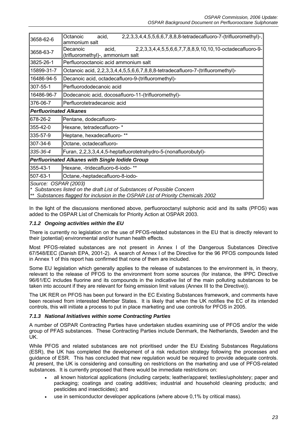| 3658-62-6                                                                                                                                                                           | 2,2,3,3,4,4,5,5,6,6,7,8,8,8-tetradecafluoro-7-(trifluoromethyl)-,<br>Octanoic<br>acid,<br>ammonium salt            |  |  |  |  |
|-------------------------------------------------------------------------------------------------------------------------------------------------------------------------------------|--------------------------------------------------------------------------------------------------------------------|--|--|--|--|
| 3658-63-7                                                                                                                                                                           | 2,2,3,3,4,4,5,5,6,6,7,7,8,8,9,10,10,10-octadecafluoro-9-<br>Decanoic<br>acid,<br>(trifluoromethyl)-, ammonium salt |  |  |  |  |
| 3825-26-1                                                                                                                                                                           | Perfluorooctanoic acid ammonium salt                                                                               |  |  |  |  |
| 15899-31-7                                                                                                                                                                          | Octanoic acid, 2,2,3,3,4,4,5,5,6,6,7,8,8,8-tetradecafluoro-7-(trifluoromethyl)-                                    |  |  |  |  |
| 16486-94-5                                                                                                                                                                          | Decanoic acid, octadecafluoro-9-(trifluoromethyl)-                                                                 |  |  |  |  |
| 307-55-1                                                                                                                                                                            | Perfluorododecanoic acid                                                                                           |  |  |  |  |
| 16486-96-7                                                                                                                                                                          | Dodecanoic acid, docosafluoro-11-(trifluoromethyl)-                                                                |  |  |  |  |
| 376-06-7                                                                                                                                                                            | Perfluorotetradecanoic acid                                                                                        |  |  |  |  |
| <b>Perfluorinated Alkanes</b>                                                                                                                                                       |                                                                                                                    |  |  |  |  |
| 678-26-2                                                                                                                                                                            | Pentane, dodecafluoro-                                                                                             |  |  |  |  |
| 355-42-0                                                                                                                                                                            | Hexane, tetradecafluoro-*                                                                                          |  |  |  |  |
| 335-57-9                                                                                                                                                                            | Heptane, hexadecafluoro-**                                                                                         |  |  |  |  |
| 307-34-6                                                                                                                                                                            | Octane, octadecafluoro-                                                                                            |  |  |  |  |
| 335-36-4                                                                                                                                                                            | Furan, 2,2,3,3,4,4,5-heptafluorotetrahydro-5-(nonafluorobutyl)-                                                    |  |  |  |  |
| Perfluorinated Alkanes with Single lodide Group                                                                                                                                     |                                                                                                                    |  |  |  |  |
| 355-43-1                                                                                                                                                                            | Hexane, -tridecafluoro-6-iodo-**                                                                                   |  |  |  |  |
| 507-63-1                                                                                                                                                                            | Octane,-heptadecafluoro-8-iodo-                                                                                    |  |  |  |  |
| Source: OSPAR (2003)<br>* Substances listed on the draft List of Substances of Possible Concern<br>** Substances flagged for inclusion in the OSPAR List of Priority Chemicals 2002 |                                                                                                                    |  |  |  |  |

In the light of the discussions mentioned above, perfluorooctanyl sulphonic acid and its salts (PFOS) was added to the OSPAR List of Chemicals for Priority Action at OSPAR 2003.

### *7.1.2 Ongoing activities within the EU*

There is currently no legislation on the use of PFOS-related substances in the EU that is directly relevant to their (potential) environmental and/or human health effects.

Most PFOS-related substances are not present in Annex I of the Dangerous Substances Directive 67/548/EEC (Danish EPA, 2001-2). A search of Annex I of the Directive for the 96 PFOS compounds listed in Annex 1 of this report has confirmed that none of them are included.

Some EU legislation which generally applies to the release of substances to the environment is, in theory, relevant to the release of PFOS to the environment from some sources (for instance, the IPPC Directive 96/61/EC includes fluorine and its compounds in the indicative list of the main polluting substances to be taken into account if they are relevant for fixing emission limit values (Annex III to the Directive)).

The UK RER on PFOS has been put forward in the EC Existing Substances framework, and comments have been received from interested Member States. It is likely that when the UK notifies the EC of its intended controls, this will initiate a process to put in place marketing and use controls for PFOS in 2005.

#### *7.1.3 National Initiatives within some Contracting Parties*

A number of OSPAR Contracting Parties have undertaken studies examining use of PFOS and/or the wide group of PFAS substances. These Contracting Parties include Denmark, the Netherlands, Sweden and the UK.

While PFOS and related substances are not prioritised under the EU Existing Substances Regulations (ESR), the UK has completed the development of a risk reduction strategy following the processes and guidance of ESR. This has concluded that new regulation would be required to provide adequate controls. At present, the UK is considering and consulting on restrictions on the marketing and use of PFOS-related substances. It is currently proposed that there would be immediate restrictions on:

- all known historical applications (including carpets; leather/apparel; textiles/upholstery; paper and packaging; coatings and coating additives; industrial and household cleaning products; and pesticides and insecticides); and
- use in semiconductor developer applications (where above 0,1% by critical mass).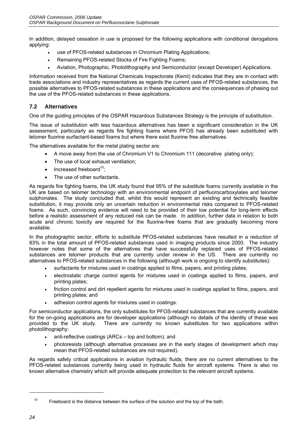In addition, delayed cessation in use is proposed for the following applications with conditional derogations applying:

- use of PFOS-related substances in Chromium Plating Applications;
- Remaining PFOS-related Stocks of Fire Fighting Foams;
- Aviation, Photographic, Photolithography and Semiconductor (except Developer) Applications.

Information received from the National Chemicals Inspectorate (KemI) indicates that they are in contact with trade associations and industry representatives as regards the current uses of PFOS-related substances, the possible alternatives to PFOS-related substances in these applications and the consequences of phasing out the use of the PFOS-related substances in these applications.

### **7.2 Alternatives**

One of the guiding principles of the OSPAR Hazardous Substances Strategy is the principle of substitution.

The issue of substitution with less hazardous alternatives has been a significant consideration in the UK assessment, particularly as regards fire fighting foams where PFOS has already been substituted with telomer fluorine surfactant-based foams but where there exist fluorine free alternatives.

The alternatives available for the metal plating sector are:

- A move away from the use of Chromium V1 to Chromium 111 (decorative plating only);
- The use of local exhaust ventilation;
- $\bullet$  Increased freeboard<sup>10</sup>;
- The use of other surfactants.

As regards fire fighting foams, the UK study found that 95% of the substitute foams currently available in the UK are based on telomer technology with an environmental endpoint of perfluorocarboxylates and telomer sulphonates. The study concluded that, whilst this would represent an existing and technically feasible substitution, it may provide only an uncertain reduction in environmental risks compared to PFOS-related foams. As such, convincing evidence will need to be provided of their low potential for long-term effects before a realistic assessment of any reduced risk can be made. In addition, further data in relation to both acute and chronic toxicity are required for the fluorine-free foams that are gradually becoming more available.

In the photographic sector, efforts to substitute PFOS-related substances have resulted in a reduction of 83% in the total amount of PFOS-related substances used in imaging products since 2000. The industry however notes that some of the alternatives that have successfully replaced uses of PFOS-related substances are telomer products that are currently under review in the US. There are currently no alternatives to PFOS-related substances in the following (although work is ongoing to identify substitutes):

- surfactants for mixtures used in coatings applied to films, papers, and printing plates;
- electrostatic charge control agents for mixtures used in coatings applied to films, papers, and printing plates;
- friction control and dirt repellent agents for mixtures used in coatings applied to films, papers, and printing plates; and
- adhesion control agents for mixtures used in coatings.

For semiconductor applications, the only substitutes for PFOS-related substances that are currently available for the on-going applications are for developer applications (although no details of the identity of these was provided to the UK study. There are currently no known substitutes for two applications within photolithography:

- anti-reflective coatings (ARCs top and bottom); and
- photoresists (although alternative processes are in the early stages of development which may mean that PFOS-related substances are not required).

As regards safety critical applications in aviation hydraulic fluids, there are no current alternatives to the PFOS-related substances currently being used in hydraulic fluids for aircraft systems. There is also no known alternative chemistry which will provide adequate protection to the relevant aircraft systems.

 $10$  Freeboard is the distance between the surface of the solution and the top of the bath.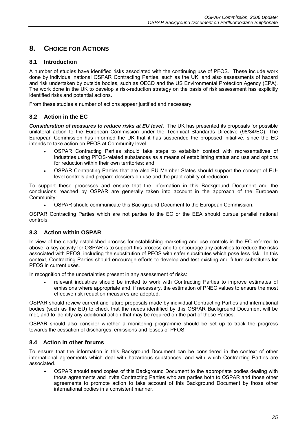# **8. CHOICE FOR ACTIONS**

# **8.1 Introduction**

A number of studies have identified risks associated with the continuing use of PFOS. These include work done by individual national OSPAR Contracting Parties, such as the UK, and also assessments of hazard and risk undertaken by outside bodies, such as OECD and the US Environmental Protection Agency (EPA). The work done in the UK to develop a risk-reduction strategy on the basis of risk assessment has explicitly identified risks and potential actions.

From these studies a number of actions appear justified and necessary.

# **8.2 Action in the EC**

*Consideration of measures to reduce risks at EU level*. The UK has presented its proposals for possible unilateral action to the European Commission under the Technical Standards Directive (98/34/EC). The European Commission has informed the UK that it has suspended the proposed initiative, since the EC intends to take action on PFOS at Community level.

- OSPAR Contracting Parties should take steps to establish contact with representatives of industries using PFOS-related substances as a means of establishing status and use and options for reduction within their own territories; and
- OSPAR Contracting Parties that are also EU Member States should support the concept of EUlevel controls and prepare dossiers on use and the practicability of reduction.

To support these processes and ensure that the information in this Background Document and the conclusions reached by OSPAR are generally taken into account in the approach of the European Community:

• OSPAR should communicate this Background Document to the European Commission.

OSPAR Contracting Parties which are not parties to the EC or the EEA should pursue parallel national controls.

# **8.3 Action within OSPAR**

In view of the clearly established process for establishing marketing and use controls in the EC referred to above, a key activity for OSPAR is to support this process and to encourage any activities to reduce the risks associated with PFOS, including the substitution of PFOS with safer substitutes which pose less risk. In this context, Contracting Parties should encourage efforts to develop and test existing and future substitutes for PFOS in current uses.

In recognition of the uncertainties present in any assessment of risks:

• relevant industries should be invited to work with Contracting Parties to improve estimates of emissions where appropriate and, if necessary, the estimation of PNEC values to ensure the most effective risk reduction measures are adopted.

OSPAR should review current and future proposals made by individual Contracting Parties and international bodies (such as the EU) to check that the needs identified by this OSPAR Background Document will be met, and to identify any additional action that may be required on the part of these Parties.

OSPAR should also consider whether a monitoring programme should be set up to track the progress towards the cessation of discharges, emissions and losses of PFOS.

### **8.4 Action in other forums**

To ensure that the information in this Background Document can be considered in the context of other international agreements which deal with hazardous substances, and with which Contracting Parties are associated.

• OSPAR should send copies of this Background Document to the appropriate bodies dealing with those agreements and invite Contracting Parties who are parties both to OSPAR and those other agreements to promote action to take account of this Background Document by those other international bodies in a consistent manner.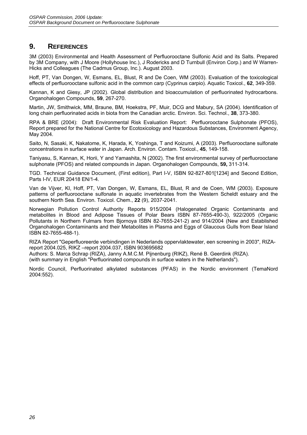# **9. REFERENCES**

3M (2003) Environmental and Health Assessment of Perfluorooctane Sulfonic Acid and its Salts. Prepared by 3M Company, with J Moore (Hollyhouse Inc.), J Rodericks and D Turnbull (Environ Corp.) and W Warren-Hicks and Colleagues (The Cadmus Group, Inc.). August 2003.

Hoff, PT, Van Dongen, W, Esmans, EL, Blust, R and De Coen, WM (2003). Evaluation of the toxicological effects of perfluorooctane sulfonic acid in the common carp (Cyprinus carpio). Aquatic Toxicol., **62**, 349-359.

Kannan, K and Giesy, JP (2002). Global distribution and bioaccumulation of perfluorinated hydrocarbons. Organohalogen Compounds, **59**, 267-270.

Martin, JW, Smithwick, MM, Braune, BM, Hoekstra, PF, Muir, DCG and Mabury, SA (2004). Identification of long chain perfluorinated acids in biota from the Canadian arctic. Environ. Sci. Technol., **38**, 373-380.

RPA & BRE (2004): Draft Environmental Risk Evaluation Report: Perfluorooctane Sulphonate (PFOS), Report prepared for the National Centre for Ecotoxicology and Hazardous Substances, Environment Agency, May 2004.

Saito, N, Sasaki, K, Nakatome, K, Harada, K, Yoshinga, T and Koizumi, A (2003). Perfluorooctane sulfonate concentrations in surface water in Japan. Arch. Environ. Contam. Toxicol., **45**, 149-158.

Taniyasu, S, Kannan, K, Horii, Y and Yamashita, N (2002). The first environmental survey of perfluorooctane sulphonate (PFOS) and related compounds in Japan. Organohalogen Compounds, **59,** 311-314.

TGD. Technical Guidance Document, (First edition), Part I-V, ISBN 92-827-801[1234] and Second Edition, Parts I-IV, EUR 20418 EN/1-4.

Van de Vijver, KI, Hoff, PT, Van Dongen, W, Esmans, EL, Blust, R and de Coen, WM (2003). Exposure patterns of perfluorooctane sulfonate in aquatic invertebrates from the Western Scheldt estuary and the southern North Sea. Environ. Toxicol. Chem., **22** (9), 2037-2041.

Norwegian Pollution Control Authority Reports 915/2004 (Halogenated Organic Contaminants and metabolites in Blood and Adipose Tissues of Polar Bears ISBN 87-7655-490-3), 922/2005 (Organic Pollutants in Northern Fulmars from Bjornoya ISBN 82-7655-241-2) and 914/2004 (New and Established Organohalogen Contaminants and their Metabolites in Plasma and Eggs of Glaucous Gulls from Bear Island ISBN 82-7655-488-1).

RIZA Report "Geperfluoreerde verbindingen in Nederlands oppervlaktewater, een screening in 2003", RIZAreport 2004.025, RIKZ –report 2004.037, ISBN 903695682

Authors: S. Marca Schrap (RIZA), Janny A.M.C.M. Pijnenburg (RIKZ), René B. Geerdink (RIZA). (with summary in English "Perfluorinated compounds in surface waters in the Netherlands").

Nordic Council, Perfluorinated alkylated substances (PFAS) in the Nordic environment (TemaNord 2004:552).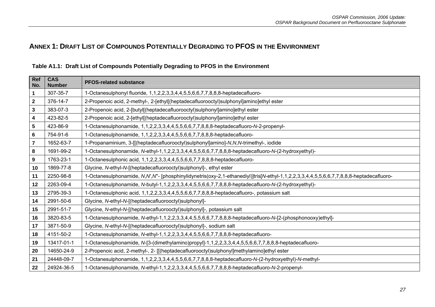# **ANNEX 1: DRAFT LIST OF COMPOUNDS POTENTIALLY DEGRADING TO PFOS IN THE ENVIRONMENT**

| <b>Ref</b><br>No.       | <b>CAS</b><br><b>Number</b> | <b>PFOS-related substance</b>                                                                                                          |
|-------------------------|-----------------------------|----------------------------------------------------------------------------------------------------------------------------------------|
| 1                       | 307-35-7                    | 1-Octanesulphonyl fluoride, 1,1,2,2,3,3,4,4,5,5,6,6,7,7,8,8,8-heptadecafluoro-                                                         |
| $\mathbf{2}$            | 376-14-7                    | 2-Propenoic acid, 2-methyl-, 2-[ethyl[(heptadecafluorooctyl)sulphonyl]amino]ethyl ester                                                |
| 3                       | 383-07-3                    | 2-Propenoic acid, 2-[butyl[(heptadecafluorooctyl)sulphonyl]amino]ethyl ester                                                           |
| 4                       | 423-82-5                    | 2-Propenoic acid, 2-[ethyl[(heptadecafluorooctyl)sulphonyl]amino]ethyl ester                                                           |
| 5                       | 423-86-9                    | 1-Octanesulphonamide, 1,1,2,2,3,3,4,4,5,5,6,6,7,7,8,8,8-heptadecafluoro-N-2-propenyl-                                                  |
| 6                       | 754-91-6                    | 1-Octanesulphonamide, 1,1,2,2,3,3,4,4,5,5,6,6,7,7,8,8,8-heptadecafluoro-                                                               |
| $\overline{\mathbf{z}}$ | 1652-63-7                   | 1-Propanaminium, 3-[[(heptadecafluorooctyl)sulphonyl]amino]-N,N,N-trimethyl-, iodide                                                   |
| 8                       | 1691-99-2                   | 1-Octanesulphonamide, N-ethyl-1,1,2,2,3,3,4,4,5,5,6,6,7,7,8,8,8-heptadecafluoro-N-(2-hydroxyethyl)-                                    |
| 9                       | 1763-23-1                   | 1-Octanesulphonic acid, 1,1,2,2,3,3,4,4,5,5,6,6,7,7,8,8,8-heptadecafluoro-                                                             |
| 10                      | 1869-77-8                   | Glycine, N-ethyl-N-[(heptadecafluorooctyl)sulphonyl]-, ethyl ester                                                                     |
| 11                      | 2250-98-8                   | 1-Octanesulphonamide, N,N,N'- [phosphinylidynetris(oxy-2,1-ethanediyl)]tris[N-ethyl-1,1,2,2,3,3,4,4,5,5,6,6,7,7,8,8,8-heptadecafluoro- |
| 12                      | 2263-09-4                   | 1-Octanesulphonamide, N-butyl-1,1,2,2,3,3,4,4,5,5,6,6,7,7,8,8,8-heptadecafluoro-N-(2-hydroxyethyl)-                                    |
| 13                      | 2795-39-3                   | 1-Octanesulphonic acid, 1,1,2,2,3,3,4,4,5,5,6,6,7,7,8,8,8-heptadecafluoro-, potassium salt                                             |
| 14                      | 2991-50-6                   | Glycine, N-ethyl-N-[(heptadecafluorooctyl)sulphonyl]-                                                                                  |
| 15                      | 2991-51-7                   | Glycine, N-ethyl-N-[(heptadecafluorooctyl)sulphonyl]-, potassium salt                                                                  |
| 16                      | 3820-83-5                   | 1-Octanesulphonamide, N-ethyl-1,1,2,2,3,3,4,4,5,5,6,6,7,7,8,8,8-heptadecafluoro-N-[2-(phosphonooxy)ethyl]-                             |
| 17                      | 3871-50-9                   | Glycine, N-ethyl-N-[(heptadecafluorooctyl)sulphonyl]-, sodium salt                                                                     |
| 18                      | 4151-50-2                   | 1-Octanesulphonamide, N-ethyl-1,1,2,2,3,3,4,4,5,5,6,6,7,7,8,8,8-heptadecafluoro-                                                       |
| 19                      | 13417-01-1                  | 1-Octanesulphonamide, N-[3-(dimethylamino)propyl]-1,1,2,2,3,3,4,4,5,5,6,6,7,7,8,8,8-heptadecafluoro-                                   |
| 20                      | 14650-24-9                  | 2-Propenoic acid, 2-methyl-, 2- [[(heptadecafluorooctyl)sulphonyl]methylamino]ethyl ester                                              |
| 21                      | 24448-09-7                  | 1-Octanesulphonamide, 1,1,2,2,3,3,4,4,5,5,6,6,7,7,8,8,8-heptadecafluoro-N-(2-hydroxyethyl)-N-methyl-                                   |
| 22                      | 24924-36-5                  | 1-Octanesulphonamide, N-ethyl-1,1,2,2,3,3,4,4,5,5,6,6,7,7,8,8,8-heptadecafluoro-N-2-propenyl-                                          |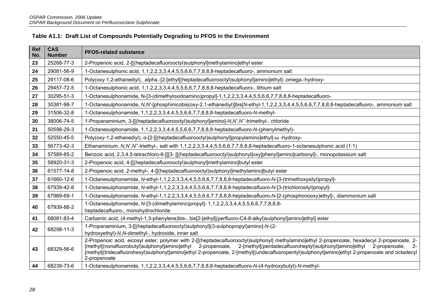| Ref<br>No. | <b>CAS</b><br><b>Number</b> | <b>PFOS-related substance</b>                                                                                                                                                                                                                                                                                                                                                                                                                                   |
|------------|-----------------------------|-----------------------------------------------------------------------------------------------------------------------------------------------------------------------------------------------------------------------------------------------------------------------------------------------------------------------------------------------------------------------------------------------------------------------------------------------------------------|
| 23         | 25268-77-3                  | 2-Propenoic acid, 2-[[(heptadecafluorooctyl)sulphonyl]methylamino]ethyl ester                                                                                                                                                                                                                                                                                                                                                                                   |
| 24         | 29081-56-9                  | 1-Octanesulphonic acid, 1,1,2,2,3,3,4,4,5,5,6,6,7,7,8,8,8-heptadecafluoro-, ammonium salt                                                                                                                                                                                                                                                                                                                                                                       |
| 25         | 29117-08-6                  | Poly(oxy-1,2-ethanediyl), .alpha.-[2-[ethyl[(heptadecafluorooctyl)sulphonyl]amino]ethyl]-.omega.-hydroxy-                                                                                                                                                                                                                                                                                                                                                       |
| 26         | 29457-72-5                  | 1-Octanesulphonic acid, 1,1,2,2,3,3,4,4,5,5,6,6,7,7,8,8,8-heptadecafluoro-, lithium salt                                                                                                                                                                                                                                                                                                                                                                        |
| 27         | 30295-51-3                  | 1-Octanesulphonamide, N-[3-(dimethyloxidoamino)propyl]-1,1,2,2,3,3,4,4,5,5,6,6,7,7,8,8,8-heptadecafluoro-                                                                                                                                                                                                                                                                                                                                                       |
| 28         | 30381-98-7                  | 1-Octanesulphonamide, N,N-[phosphinicobis(oxy-2,1-ethanediyl)]bis[N-ethyl-1,1,2,2,3,3,4,4,5,5,6,6,7,7,8,8,8-heptadecafluoro-, ammonium salt                                                                                                                                                                                                                                                                                                                     |
| 29         | 31506-32-8                  | 1-Octanesulphonamide, 1,1,2,2,3,3,4,4,5,5,6,6,7,7,8,8,8-heptadecafluoro-N-methyl-                                                                                                                                                                                                                                                                                                                                                                               |
| 30         | 38006-74-5                  | 1-Propanaminium, 3-[[(heptadecafluorooctyl)sulphonyl]amino]-N,N',N'-trimethyl-, chloride                                                                                                                                                                                                                                                                                                                                                                        |
| 31         | 50598-29-3                  | 1-Octanesulphonamide, 1,1,2,2,3,3,4,4,5,5,6,6,7,7,8,8,8-heptadecafluoro-N-(phenylmethyl)-                                                                                                                                                                                                                                                                                                                                                                       |
| 32         | 52550-45-5                  | Poly(oxy-1,2-ethanediyl), α-[2-[[(heptadecafluorooctyl)sulphonyl]propylamino]ethyl]-ω -hydroxy-                                                                                                                                                                                                                                                                                                                                                                 |
| 33         | 56773-42-3                  | Ethanaminium, N,N,N'-triethyl-, salt with 1,1,2,2,3,3,4,4,5,5,6,6,7,7,8,8,8-heptadecafluoro-1-octanesulphonic acid (1:1)                                                                                                                                                                                                                                                                                                                                        |
| 34         | 57589-85-2                  | Benzoic acid, 2,3,4,5-tetrachloro-6-[[[3- [[(heptadecafluorooctyl)sulphonyl]oxy]phenyl]amino]carbonyl]-, monopotassium salt                                                                                                                                                                                                                                                                                                                                     |
| 35         | 58920-31-3                  | 2-Propenoic acid, 4-[[(heptadecafluorooctyl)sulphonyl]methylamino]butyl ester                                                                                                                                                                                                                                                                                                                                                                                   |
| 36         | 61577-14-8                  | 2-Propenoic acid, 2-methyl-, 4-[[(heptadecafluorooctyl)sulphonyl]methylamino]butyl ester                                                                                                                                                                                                                                                                                                                                                                        |
| 37         | 61660-12-6                  | 1-Octanesulphonamide, N-ethyl-1,1,2,2,3,3,4,4,5,5,6,6,7,7,8,8,8-heptadecafluoro-N-[3-(trimethoxysilyl)propyl]-                                                                                                                                                                                                                                                                                                                                                  |
| 38         | 67939-42-8                  | 1-Octanesulphonamide, N-ethyl-1,1,2,2,3,3,4,4,5,5,6,6,7,7,8,8,8-heptadecafluoro-N-[3-(trichlorosilyl)propyl]-                                                                                                                                                                                                                                                                                                                                                   |
| 39         | 67969-69-1                  | 1-Octanesulphonamide, N-ethyl-1,1,2,2,3,3,4,4,5,5,6,6,7,7,8,8,8-heptadecafluoro-N-[2-(phosphonooxy)ethyl]-, diammonium salt                                                                                                                                                                                                                                                                                                                                     |
| 40         | 67939-88-2                  | 1-Octanesulphonamide, N-[3-(dimethylamino)propyl]- 1,1,2,2,3,3,4,4,5,5,6,6,7,7,8,8,8-<br>heptadecafluoro-, monohydrochloride                                                                                                                                                                                                                                                                                                                                    |
| 41         | 68081-83-4                  | Carbamic acid, (4-methyl-1,3-phenylene)bis-, bis[2-[ethyl[(perfluoro-C4-8-alkyl)sulphonyl]amino]ethyl] ester                                                                                                                                                                                                                                                                                                                                                    |
| 42         | 68298-11-3                  | 1-Propanaminium, 3-[[(heptadecafluorooctyl)sulphonyl](3-sulphopropyl)amino]-N-(2-<br>hydroxyethyl)-N, N-dimethyl-, hydroxide, inner salt                                                                                                                                                                                                                                                                                                                        |
| 43         | 68329-56-6                  | 2-Propenoic acid, eicosyl ester, polymer with 2-[[(heptadecafluorooctyl)sulphonyl] methylamino]ethyl 2-propenoate, hexadecyl 2-propenoate, 2-<br>[methyl[(nonafluorobutyl)sulphonyl]amino]ethyl 2-propenoate, 2-[methyl[(pentadecafluoroheptyl)sulphonyl]amino]ethyl<br>2-propenoate,<br>- 2-<br>[methyl[(tridecafluorohexyl)sulphonyl]amino]ethyl 2-propenoate, 2-[methyl[(undecafluoropentyl)sulphonyl]amino]ethyl 2-propenoate and octadecyl<br>2-propenoate |
| 44         | 68239-73-6                  | 1-Octanesulphonamide, 1,1,2,2,3,3,4,4,5,5,6,6,7,7,8,8,8-heptadecafluoro-N-(4-hydroxybutyl)-N-methyl-                                                                                                                                                                                                                                                                                                                                                            |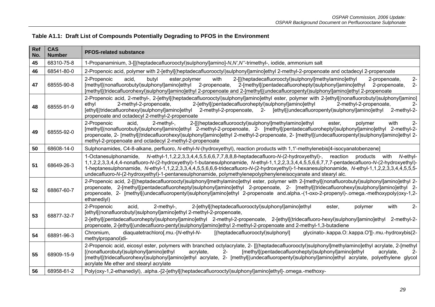| Ref<br>No. | <b>CAS</b><br><b>Number</b> | <b>PFOS-related substance</b>                                                                                                                                                                                                                                                                                                                                                                                                                                                                                                                                            |
|------------|-----------------------------|--------------------------------------------------------------------------------------------------------------------------------------------------------------------------------------------------------------------------------------------------------------------------------------------------------------------------------------------------------------------------------------------------------------------------------------------------------------------------------------------------------------------------------------------------------------------------|
| 45         | 68310-75-8                  | 1-Propanaminium, 3-[[(heptadecafluorooctyl)sulphonyl]amino]-N,N',N"-trimethyl-, iodide, ammonium salt                                                                                                                                                                                                                                                                                                                                                                                                                                                                    |
| 46         | 68541-80-0                  | 2-Propenoic acid, polymer with 2-[ethyl[(heptadecafluorooctyl)sulphonyl]amino]ethyl 2-methyl-2-propenoate and octadecyl 2-propenoate                                                                                                                                                                                                                                                                                                                                                                                                                                     |
| 47         | 68555-90-8                  | $2-$<br>2-Propenoic<br>acid,<br>with<br>2-[[(heptadecafluorooctyl)sulphonyl]methylamino]ethyl<br>butyl<br>ester, polymer<br>2-propenoate,<br>[methyl](nonafluorobutyl)sulphonyl]amino]ethyl<br>2-propenoate,<br>2-[methyl[(pentadecafluoroheptyl)sulphonyl]amino]ethyl<br>$2 -$<br>2-propenoate,<br>[methyl[(tridecafluorohexyl)sulphonyl]amino]ethyl 2-propenoate and 2-[methyl[(undecafluoropentyl)sulphonyl]amino]ethyl 2-propenoate                                                                                                                                  |
| 48         | 68555-91-9                  | 2-Propenoic acid, 2-methyl-, 2-[ethyl[(heptadecafluorooctyl)sulphonyl]amino]ethyl ester, polymer with 2-[ethyl[(nonafluorobutyl)sulphonyl]amino]<br>2-[ethyl](pentadecafluoroheptyl)sulphonyl]amino]ethyl<br>2-methyl-2-propenoate,<br>2-methyl-2-propenoate,<br>ethyl<br>$2 -$<br>[ethyl](tridecafluorohexyl)sulphonyl]amino]ethyl<br>2-methyl-2-propenoate, 2- [ethyl[(undecafluoropentyl)sulphonyl]amino]ethyl<br>2-methyl-2-<br>propenoate and octadecyl 2-methyl-2-propenoate                                                                                       |
| 49         | 68555-92-0                  | 2-Propenoic<br>acid.<br>2-[[(heptadecafluorooctyl)sulphonyl]methylamino]ethyl<br>with<br>$2 -$<br>$2$ -methyl-,<br>polymer<br>ester.<br>[methyl[(nonafluorobutyl)sulphonyl]amino]ethyl 2-methyl-2-propenoate, 2- [methyl[(pentadecafluoroheptyl)sulphonyl]amino]ethyl 2-methyl-2-<br>propenoate, 2- [methyl[(tridecafluorohexyl)sulphonyl]amino]ethyl 2-methyl-2-propenoate, 2- [methyl[(undecafluoropentyl)sulphonyl]amino]ethyl 2-<br>methyl-2-propenoate and octadecyl 2-methyl-2-propenoate                                                                          |
| 50         | 68608-14-0                  | Sulphonamides, C4-8-alkane, perfluoro, N-ethyl-N-(hydroxyethyl), reaction products with 1,1'-methylenebis[4-isocyanatobenzene]                                                                                                                                                                                                                                                                                                                                                                                                                                           |
| 51         | 68649-26-3                  | N-ethyl-1,1,2,2,3,3,4,4,5,5,6,6,7,7,8,8,8-heptadecafluoro-N-(2-hydroxyethyl)-,<br>1-Octanesulphonamide,<br>reaction<br>products<br>with<br>N-ethyl-<br>1,1,2,2,3,3,4,4,4-nonafluoro-N-(2-hydroxyethyl)-1-butanesulphonamide, N-ethyl-1,1,2,2,3,3,4,4,5,5,6,6,7,7,7-pentadecafluoro-N-(2-hydroxyethyl)-<br>1-heptanesulphonamide, N-ethyl-1,1,2,2,3,3,4,4,5,5,6,6,6-tridecafluoro-N-(2-hydroxyethyl)-1-hexanesulphonamide, N-ethyl-1,1,2,2,3,3,4,4,5,5,5-<br>undecafluoro-N-(2-hydroxyethyl)-1-pentanesulphonamide, polymethylenepolyphenyleneisocyanate and stearyl alc. |
| 52         | 68867-60-7                  | 2-Propenoic acid, 2-[[(heptadecafluorooctyl)sulphonyl]methylamino]ethyl ester, polymer with 2-[methyl](nonafluorobutyl)sulphonyl]amino]ethyl 2-<br>propenoate, 2-[methyl](pentadecafluoroheptyl)sulphonyl]amino]ethyl 2-propenoate, 2- [methyl](tridecafluorohexyl)sulphonyl]amino]ethyl 2-<br>propenoate, 2- [methyl[(undecafluoropentyl)sulphonyl]amino]ethyl 2-propenoate and.alpha.-(1-oxo-2-propenyl)-.omega.-methoxypoly(oxy-1,2-<br>ethanediyl)                                                                                                                   |
| 53         | 68877-32-7                  | with<br>$2 -$<br>2-Propenoic<br>$2$ -methyl-,<br>2-[ethyl](heptadecafluorooctyl)sulphonyl]amino]ethyl<br>acid,<br>polymer<br>ester,<br>[ethyl[(nonafluorobutyl)sulphonyl]amino]ethyl 2-methyl-2-propenoate,<br>2-[ethyl](pentadecafluoroheptyl)sulphonyl]amino]ethyl 2-methyl-2-propenoate, 2-[ethyl](tridecafluoro-hexyl)sulphonyl]amino]ethyl<br>2-methyl-2-<br>propenoate, 2-[ethyl[(undecafluoro-pentyl)sulphonyl]amino]ethyl 2-methyl-2-propenoate and 2-methyl-1,3-butadiene                                                                                       |
| 54         | 68891-96-3                  | Chromium,<br>diaquatetrachloro[.mu.-[N-ethyl-N-<br>[(heptadecafluorooctyl)sulphonyl]<br>glycinato-.kappa.O:.kappa.O']]-.mu.-hydroxybis(2-<br>methylpropanol)di-                                                                                                                                                                                                                                                                                                                                                                                                          |
| 55         | 68909-15-9                  | 2-Propenoic acid, eicosyl ester, polymers with branched octylacrylate, 2- [[(heptadecafluorooctyl)sulphonyl]methylamino]ethyl acrylate, 2-[methyl<br>[methyl](pentadecafluoroheptyl)sulphonyl]amino]ethyl<br>[(nonafluorobutyl)sulphonyl]amino]ethyl<br>acrylate,<br>$2 -$<br>acrylate,<br>2-<br>[methyl[(tridecafluorohexyl)sulphonyl]amino]ethyl acrylate, 2- [methyl[(undecafluoropentyl)sulphonyl]amino]ethyl acrylate, polyethylene glycol<br>acrylate Me ether and stearyl acrylate                                                                                |
| 56         | 68958-61-2                  | Poly(oxy-1,2-ethanediyl), .alpha.-[2-[ethyl[(heptadecafluorooctyl)sulphonyl]amino]ethyl]-.omega.-methoxy-                                                                                                                                                                                                                                                                                                                                                                                                                                                                |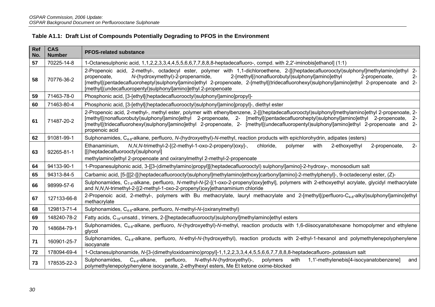| Ref<br>No. | <b>CAS</b><br><b>Number</b> | <b>PFOS-related substance</b>                                                                                                                                                                                                                                                                                                                                                                                                                                                            |
|------------|-----------------------------|------------------------------------------------------------------------------------------------------------------------------------------------------------------------------------------------------------------------------------------------------------------------------------------------------------------------------------------------------------------------------------------------------------------------------------------------------------------------------------------|
| 57         | 70225-14-8                  | 1-Octanesulphonic acid, 1,1,2,2,3,3,4,4,5,5,6,6,7,7,8,8,8-heptadecafluoro-, compd. with 2,2'-iminobis[ethanol] (1:1)                                                                                                                                                                                                                                                                                                                                                                     |
| 58         | 70776-36-2                  | 2-Propenoic acid, 2-methyl-, octadecyl ester, polymer with 1,1-dichloroethene, 2-[[(heptadecafluorooctyl)sulphonyl]methylamino]ethyl 2-<br>N-(hydroxymethyl)-2-propenamide,<br>2-[methyl](nonafluorobutyl)sulphonyl]amino]ethyl<br>propenoate,<br>2-propenoate,<br>$2 -$<br>[methyl[(pentadecafluoroheptyl)sulphonyl]amino]ethyl 2-propenoate, 2-[methyl[(tridecafluorohexyl)sulphonyl]amino]ethyl 2-propenoate and 2-<br>[methyl](undecafluoropentyl)sulphonyl]amino]ethyl 2-propenoate |
| 59         | 71463-78-0                  | Phosphonic acid, [3-[ethyl[(heptadecafluorooctyl)sulphonyl]amino]propyl]-                                                                                                                                                                                                                                                                                                                                                                                                                |
| 60         | 71463-80-4                  | Phosphonic acid, [3-[ethyl[(heptadecafluorooctyl)sulphonyl]amino]propyl]-, diethyl ester                                                                                                                                                                                                                                                                                                                                                                                                 |
| 61         | 71487-20-2                  | 2-Propenoic acid, 2-methyl-, methyl ester, polymer with ethenylbenzene, 2-[[(heptadecafluorooctyl)sulphonyl]methylamino]ethyl 2-propenoate, 2-<br>[methyl[(nonafluorobutyl)sulphonyl]amino]ethyl 2-propenoate, 2- [methyl[(pentadecafluoroheptyl)sulphonyl]amino]ethyl 2-propenoate, 2-<br>[methyl[(tridecafluorohexyl)sulphonyl]amino]ethyl 2-propenoate, 2- [methyl[(undecafluoropentyl)sulphonyl]amino]ethyl 2-propenoate and 2-<br>propenoic acid                                    |
| 62         | 91081-99-1                  | Sulphonamides, C <sub>4-8</sub> -alkane, perfluoro, N-(hydroxyethyl)-N-methyl, reaction products with epichlorohydrin, adipates (esters)                                                                                                                                                                                                                                                                                                                                                 |
| 63         | 92265-81-1                  | N, N, N-trimethyl-2-[(2-methyl-1-oxo-2-propenyl)oxy]-,<br>chloride,<br>with<br>$2 -$<br>Ethanaminium,<br>polymer<br>2-ethoxyethyl<br>2-propenoate,<br>[[(heptadecafluorooctyl)sulphonyl]<br>methylamino]ethyl 2-propenoate and oxiranylmethyl 2-methyl-2-propenoate                                                                                                                                                                                                                      |
| 64         | 94133-90-1                  | 1-Propanesulphonic acid, 3-[[3-(dimethylamino)propyl][(heptadecafluorooctyl) sulphonyl]amino]-2-hydroxy-, monosodium salt                                                                                                                                                                                                                                                                                                                                                                |
| 65         | 94313-84-5                  | Carbamic acid, [5-[[[2-[[(heptadecafluorooctyl)sulphonyl]methylamino]ethoxy]carbonyl]amino]-2-methylphenyl]-, 9-octadecenyl ester, (Z)-                                                                                                                                                                                                                                                                                                                                                  |
| 66         | 98999-57-6                  | Sulphonamides, C <sub>7-8</sub> -alkane, perfluoro, N-methyl-N-[2-[(1-oxo-2-propenyl)oxy]ethyl], polymers with 2-ethoxyethyl acrylate, glycidyl methacrylate<br>and N,N,N-trimethyl-2-[(2-methyl-1-oxo-2-propenyl)oxy]ethanaminium chloride                                                                                                                                                                                                                                              |
| 67         | 127133-66-8                 | 2-Propenoic acid, 2-methyl-, polymers with Bu methacrylate, lauryl methacrylate and 2-[methyl](perfluoro-C <sub>4-8</sub> -alkyl)sulphonyl]amino]ethyl<br>methacrylate                                                                                                                                                                                                                                                                                                                   |
| 68         | 129813-71-4                 | Sulphonamides, C <sub>4-8</sub> -alkane, perfluoro, N-methyl-N-(oxiranylmethyl)                                                                                                                                                                                                                                                                                                                                                                                                          |
| 69         | 148240-78-2                 | Fatty acids, C <sub>18</sub> -unsatd., trimers, 2-[[heptadecafluorooctyl)sulphonyl]methylamino]ethyl esters                                                                                                                                                                                                                                                                                                                                                                              |
| 70         | 148684-79-1                 | Sulphonamides, C <sub>4-8</sub> -alkane, perfluoro, N-(hydroxyethyl)-N-methyl, reaction products with 1,6-diisocyanatohexane homopolymer and ethylene<br>glycol                                                                                                                                                                                                                                                                                                                          |
| 71         | 160901-25-7                 | Sulphonamides, C <sub>4-8</sub> -alkane, perfluoro, N-ethyl-N-(hydroxyethyl), reaction products with 2-ethyl-1-hexanol and polymethylenepolyphenylene<br>isocyanate                                                                                                                                                                                                                                                                                                                      |
| 72         | 178094-69-4                 | 1-Octanesulphonamide, N-[3-(dimethyloxidoamino)propyl]-1,1,2,2,3,3,4,4,5,5,6,6,7,7,8,8,8-heptadecafluoro-,potassium salt                                                                                                                                                                                                                                                                                                                                                                 |
| 73         | 178535-22-3                 | perfluoro,<br>N-ethyl-N-(hydroxyethyl)-,<br>1,1'-methylenebis[4-isocyanatobenzene]<br>Sulphonamides,<br>$C_{4-8}$ -alkane,<br>polymers<br>with<br>and<br>polymethylenepolyphenylene isocyanate, 2-ethylhexyl esters, Me Et ketone oxime-blocked                                                                                                                                                                                                                                          |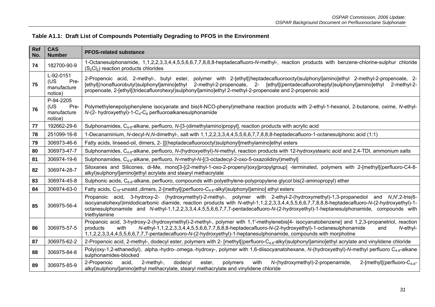| Ref<br>No. | <b>CAS</b><br><b>Number</b>                        | <b>PFOS-related substance</b>                                                                                                                                                                                                                                                                                                                                                                                                                 |
|------------|----------------------------------------------------|-----------------------------------------------------------------------------------------------------------------------------------------------------------------------------------------------------------------------------------------------------------------------------------------------------------------------------------------------------------------------------------------------------------------------------------------------|
| 74         | 182700-90-9                                        | 1-Octanesulphonamide, 1,1,2,2,3,3,4,4,5,5,6,6,7,7,8,8,8-heptadecafluoro-N-methyl-, reaction products with benzene-chlorine-sulphur chloride<br>$(S_2Cl_2)$ reaction products chlorides                                                                                                                                                                                                                                                        |
| 75         | L-92-0151<br>(US<br>Pre-<br>manufacture<br>notice) | 2-Propenoic acid, 2-methyl-, butyl ester, polymer with 2-[ethyl[(heptadecafluorooctyl)sulphonyl]amino]ethyl 2-methyl-2-propenoate, 2-<br>[ethyl[(nonafluorobutyl)sulphonyl]amino]ethyl 2-methyl-2-propenoate, 2- [ethyl[(pentadecafluoroheptyl)sulphonyl]amino]ethyl 2-methyl-2-<br>propenoate, 2-[ethyl[(tridecafluorohexyl)sulphonyl]amino]ethyl 2-methyl-2-propenoate and 2-propenoic acid                                                 |
| 76         | P-94-2205<br>(US<br>Pre-<br>manufacture<br>notice) | Polymethylenepolyphenylene isocyanate and bis(4-NCO-phenyl)methane reaction products with 2-ethyl-1-hexanol, 2-butanone, oxime, N-ethyl-<br>$N-(2-$ hydroxyethyl)-1- $C_4-C_8$ perfluoroalkanesulphonamide                                                                                                                                                                                                                                    |
| 77         | 192662-29-6                                        | Sulphonamides, C <sub>4-8</sub> -alkane, perfluoro, N-[3-(dimethylamino)propyl], reaction products with acrylic acid                                                                                                                                                                                                                                                                                                                          |
| 78         | 251099-16-8                                        | 1-Decanaminium, N-decyl-N,N-dimethyl-, salt with 1,1,2,2,3,3,4,4,5,5,6,6,7,7,8,8-heptadecafluoro-1-octanesulphonic acid (1:1)                                                                                                                                                                                                                                                                                                                 |
| 79         | 306973-46-6                                        | Fatty acids, linseed-oil, dimers, 2- [[(heptadecafluorooctyl)sulphonyl]methylamino]ethyl esters                                                                                                                                                                                                                                                                                                                                               |
| 80         | 306973-47-7                                        | Sulphonamides, C <sub>4-8</sub> -alkane, perfluoro, N-(hydroxyethyl)-N-methyl, reaction products with 12-hydroxystearic acid and 2,4-TDI, ammonium salts                                                                                                                                                                                                                                                                                      |
| 81         | 306974-19-6                                        | Sulphonamides, C <sub>4-8</sub> -alkane, perfluoro, N-methyl-N-[(3-octadecyl-2-oxo-5-oxazolidinyl)methyl]                                                                                                                                                                                                                                                                                                                                     |
| 82         | 306974-28-7                                        | Siloxanes and Silicones, di-Me, mono[3-[(2-methyl-1-oxo-2-propenyl)oxy]propylgroup] -terminated, polymers with 2-[methyl[(perfluoro-C4-8-<br>alkyl)sulphonyl]amino]ethyl acrylate and stearyl methacrylate                                                                                                                                                                                                                                    |
| 83         | 306974-45-8                                        | Sulphonic acids, C <sub>6-8</sub> -alkane, perfluoro, compounds with polyethylene-polypropylene glycol bis(2-aminopropyl) ether                                                                                                                                                                                                                                                                                                               |
| 84         | 306974-63-0                                        | Fatty acids, $C_{18}$ -unsatd., dimers, 2-[methyl](perfluoro- $C_{4-8}$ -alkyl)sulphonyl]amino] ethyl esters                                                                                                                                                                                                                                                                                                                                  |
| 85         | 306975-56-4                                        | Propanoic acid, 3-hydroxy-2- (hydroxymethyl)-2-methyl-, polymer with 2-ethyl-2-(hydroxymethyl)-1,3-propanediol and N,N,2-tris(6-<br>isocyanatohexyl)imidodicarbonic diamide, reaction products with N-ethyl-1,1,2,2,3,3,4,4,5,5,6,6,7,7,8,8,8-heptadecafluoro-N-(2-hydroxyethyl)-1-<br>octanesulphonamide and N-ethyl-1,1,2,2,3,3,4,4,5,5,6,6,7,7,7-pentadecafluoro-N-(2-hydroxyethyl)-1-heptanesulphonamide, compounds with<br>triethylamine |
| 86         | 306975-57-5                                        | Propanoic acid, 3-hydroxy-2-(hydroxymethyl)-2-methyl-, polymer with 1,1'-methylenebis[4- isocyanatobenzene] and 1,2,3-propanetriol, reaction<br>N-ethyl-1,1,2,2,3,3,4,4,5,5,6,6,7,7,8,8,8-heptadecafluoro-N-(2-hydroxyethyl)-1-octanesulphonamide<br>products<br>N-ethyl-<br>with<br>and<br>1,1,2,2,3,3,4,4,5,5,6,6,7,7,7-pentadecafluoro-N-(2-hydroxyethyl)-1-heptanesulphonamide, compounds with morpholine                                 |
| 87         | 306975-62-2                                        | 2-Propenoic acid, 2-methyl-, dodecyl ester, polymers with 2- [methyl[(perfluoro-C <sub>4-8</sub> -alkyl)sulphonyl]amino]ethyl acrylate and vinylidene chloride                                                                                                                                                                                                                                                                                |
| 88         | 306975-84-8                                        | Poly(oxy-1,2-ethanediyl), .alpha.-hydro-.omega.-hydroxy-, polymer with 1,6-diisocyanatohexane, N-(hydroxyethyl)-N-methyl perfluoro C <sub>4-8</sub> -alkane<br>sulphonamides-blocked                                                                                                                                                                                                                                                          |
| 89         | 306975-85-9                                        | with<br>2-Propenoic<br>acid,<br>$2$ -methyl-,<br>dodecyl<br>N-(hydroxymethyl)-2-propenamide,<br>2-[methyl[(perfluoro- $C_{4-8}$ -<br>ester,<br>polymers<br>alkyl)sulphonyl]amino]ethyl methacrylate, stearyl methacrylate and vinylidene chloride                                                                                                                                                                                             |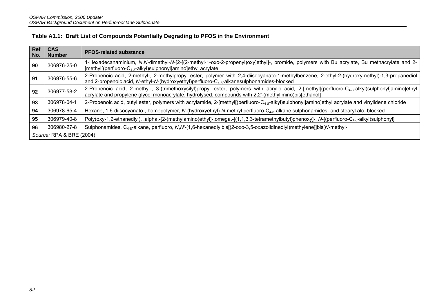| Ref<br>No. | <b>CAS</b><br><b>Number</b> | <b>PFOS-related substance</b>                                                                                                                                                                                                                                         |  |  |  |  |
|------------|-----------------------------|-----------------------------------------------------------------------------------------------------------------------------------------------------------------------------------------------------------------------------------------------------------------------|--|--|--|--|
| 90         | 306976-25-0                 | 1-Hexadecanaminium, N,N-dimethyl-N-[2-[(2-methyl-1-oxo-2-propenyl)oxy]ethyl]-, bromide, polymers with Bu acrylate, Bu methacrylate and 2-<br>$[methyl](perfluoro-C4-8-alkyl)subhonyl] aminolethyl acrylate$                                                           |  |  |  |  |
| 91         | 306976-55-6                 | 2-Propenoic acid, 2-methyl-, 2-methylpropyl ester, polymer with 2,4-diisocyanato-1-methylbenzene, 2-ethyl-2-(hydroxymethyl)-1,3-propanediol<br>and 2-propenoic acid, N-ethyl-N-(hydroxyethyl)perfluoro-C <sub>4-8</sub> -alkanesulphonamides-blocked                  |  |  |  |  |
| 92         | 306977-58-2                 | 2-Propenoic acid, 2-methyl-, 3-(trimethoxysilyl)propyl ester, polymers with acrylic acid, 2-[methyl[(perfluoro-C <sub>4-8</sub> -alkyl)sulphonyl]amino]ethyl<br>acrylate and propylene glycol monoacrylate, hydrolysed, compounds with 2,2'-(methylimino)bis[ethanol] |  |  |  |  |
| 93         | 306978-04-1                 | 2-Propenoic acid, butyl ester, polymers with acrylamide, 2-[methyl[(perfluoro-C <sub>4-8</sub> -alkyl)sulphonyl]amino]ethyl acrylate and vinylidene chloride                                                                                                          |  |  |  |  |
| 94         | 306978-65-4                 | Hexane, 1,6-diisocyanato-, homopolymer, N-(hydroxyethyl)-N-methyl perfluoro-C <sub>4-8</sub> -alkane sulphonamides- and stearyl alc.-blocked                                                                                                                          |  |  |  |  |
| 95         | 306979-40-8                 | Poly(oxy-1,2-ethanediyl), .alpha.-[2-(methylamino)ethyl]-.omega.-[(1,1,3,3-tetramethylbutyl)phenoxy]-, N-[(perfluoro-C <sub>4-8</sub> -alkyl)sulphonyl]                                                                                                               |  |  |  |  |
| 96         | 306980-27-8                 | Sulphonamides, C <sub>4-8</sub> -alkane, perfluoro, N,N-[1,6-hexanediylbis[(2-oxo-3,5-oxazolidinediyl)methylene]]bis[N-methyl-                                                                                                                                        |  |  |  |  |
|            | Source: RPA & BRE (2004)    |                                                                                                                                                                                                                                                                       |  |  |  |  |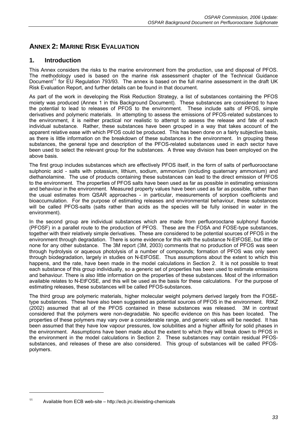# **ANNEX 2: MARINE RISK EVALUATION**

# **1. Introduction**

This Annex considers the risks to the marine environment from the production, use and disposal of PFOS. The methodology used is based on the marine risk assessment chapter of the Technical Guidance Document<sup>11</sup> for EU Regulation 793/93. The annex is based on the full marine assessment in the draft UK Risk Evaluation Report, and further details can be found in that document.

As part of the work in developing the Risk Reduction Strategy, a list of substances containing the PFOS moiety was produced (Annex 1 in this Background Document). These substances are considered to have the potential to lead to releases of PFOS to the environment. These include salts of PFOS, simple derivatives and polymeric materials. In attempting to assess the emissions of PFOS-related substances to the environment, it is neither practical nor realistic to attempt to assess the release and fate of each individual substance. Rather, these substances have been grouped in a way that takes account of the apparent relative ease with which PFOS could be produced. This has been done on a fairly subjective basis, as there is little information on the breakdown of these substances in the environment. In grouping these substances, the general type and description of the PFOS-related substances used in each sector have been used to select the relevant group for the substances. A three way division has been employed on the above basis.

The first group includes substances which are effectively PFOS itself, in the form of salts of perfluorooctane sulphonic acid - salts with potassium, lithium, sodium, ammonium (including quaternary ammonium) and diethanolamine. The use of products containing these substances can lead to the direct emission of PFOS to the environment. The properties of PFOS salts have been used as far as possible in estimating emissions and behaviour in the environment. Measured property values have been used as far as possible, rather than the usual estimates from QSAR approaches - in particular, measurements of sorption coefficients and bioaccumulation. For the purpose of estimating releases and environmental behaviour, these substances will be called PFOS-salts (salts rather than acids as the species will be fully ionised in water in the environment).

In the second group are individual substances which are made from perfluorooctane sulphonyl fluoride (PFOSF) in a parallel route to the production of PFOS. These are the FOSA and FOSE-type substances, together with their relatively simple derivatives. These are considered to be potential sources of PFOS in the environment through degradation. There is some evidence for this with the substance N-EtFOSE, but little or none for any other substance. The 3M report (3M, 2003) comments that no production of PFOS was seen through hydrolysis or aqueous photolysis of a number of compounds; formation of PFOS was only seen through biodegradation, largely in studies on N-EtFOSE. Thus assumptions about the extent to which this happens, and the rate, have been made in the model calculations in Section 2. It is not possible to treat each substance of this group individually, so a generic set of properties has been used to estimate emissions and behaviour. There is also little information on the properties of these substances. Most of the information available relates to N-EtFOSE, and this will be used as the basis for these calculations. For the purpose of estimating releases, these substances will be called PFOS-substances.

The third group are polymeric materials, higher molecular weight polymers derived largely from the FOSEtype substances. These have also been suggested as potential sources of PFOS in the environment. RIKZ (2002) assumed that all of the PFOS contained in these substances was released. 3M in contrast considered that the polymers were non-degradable. No specific evidence on this has been located. The properties of these polymers may vary over a considerable range, and generic values will be needed. It has been assumed that they have low vapour pressures, low solubilities and a higher affinity for solid phases in the environment. Assumptions have been made about the extent to which they will break down to PFOS in the environment in the model calculations in Section 2. These substances may contain residual PFOSsubstances, and releases of these are also considered. This group of substances will be called PFOSpolymers.

<sup>11</sup> Available from ECB web-site – http://ecb.jrc.it/existing-chemicals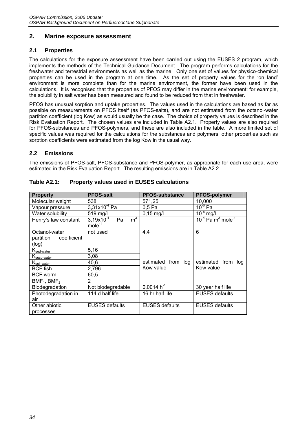### **2. Marine exposure assessment**

### **2.1 Properties**

The calculations for the exposure assessment have been carried out using the EUSES 2 program, which implements the methods of the Technical Guidance Document. The program performs calculations for the freshwater and terrestrial environments as well as the marine. Only one set of values for physico-chemical properties can be used in the program at one time. As the set of property values for the 'on land' environment is more complete than for the marine environment, the former have been used in the calculations. It is recognised that the properties of PFOS may differ in the marine environment; for example, the solubility in salt water has been measured and found to be reduced from that in freshwater.

PFOS has unusual sorption and uptake properties. The values used in the calculations are based as far as possible on measurements on PFOS itself (as PFOS-salts), and are not estimated from the octanol-water partition coefficient (log Kow) as would usually be the case. The choice of property values is described in the Risk Evaluation Report. The chosen values are included in Table A2.1. Property values are also required for PFOS-substances and PFOS-polymers, and these are also included in the table. A more limited set of specific values was required for the calculations for the substances and polymers; other properties such as sorption coefficients were estimated from the log Kow in the usual way.

### **2.2 Emissions**

The emissions of PFOS-salt, PFOS-substance and PFOS-polymer, as appropriate for each use area, were estimated in the Risk Evaluation Report. The resulting emissions are in Table A2.2.

| <b>Property</b>                                        | <b>PFOS-salt</b>                                      | <b>PFOS-substance</b> | <b>PFOS-polymer</b>                            |
|--------------------------------------------------------|-------------------------------------------------------|-----------------------|------------------------------------------------|
| Molecular weight                                       | 538                                                   | 571,25                | 10,000                                         |
| Vapour pressure                                        | $3,31x10^{-4}$ Pa                                     | 0.5 <sub>Pa</sub>     | $10^{-6}$ Pa                                   |
| Water solubility                                       | 519 mg/l                                              | $0,15$ mg/l           | $10^{-6}$ mg/l                                 |
| Henry's law constant                                   | $3,19x10^{-4}$<br>m <sup>3</sup><br>Pa<br>$mole^{-1}$ |                       | $10^{-4}$ Pa m <sup>3</sup> mole <sup>-1</sup> |
| Octanol-water                                          | not used                                              | 4,4                   | 6                                              |
| partition coefficient                                  |                                                       |                       |                                                |
| (log)                                                  |                                                       |                       |                                                |
| $\mathsf{K}_{\underline{\mathsf{sed}\textrm{-}water}}$ | 5,16                                                  |                       |                                                |
| K <sub>susp-water</sub>                                | 3,08                                                  |                       |                                                |
| K <sub>soil-water</sub>                                | 40,6                                                  | estimated from log    | estimated from log                             |
| <b>BCF</b> fish                                        | 2,796                                                 | Kow value             | Kow value                                      |
| <b>BCF</b> worm                                        | 60,5                                                  |                       |                                                |
| $BMF_1$ , BMF <sub>2</sub>                             | $\overline{2}$                                        |                       |                                                |
| Biodegradation                                         | Not biodegradable                                     | $0.0014 h^{-1}$       | 30 year half life                              |
| Photodegradation in                                    | 114 d half life                                       | 16 hr half life       | <b>EUSES</b> defaults                          |
| air                                                    |                                                       |                       |                                                |
| Other abiotic                                          | <b>EUSES</b> defaults                                 | <b>EUSES</b> defaults | <b>EUSES defaults</b>                          |
| processes                                              |                                                       |                       |                                                |

### **Table A2.1: Property values used in EUSES calculations**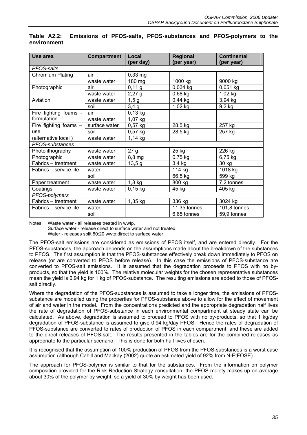| Use area                | Compartment   | Local     | Regional     | <b>Continental</b> |
|-------------------------|---------------|-----------|--------------|--------------------|
| PFOS-salts              |               | (per day) | (per year)   | (per year)         |
| <b>Chromium Plating</b> | air           | $0,33$ mg |              |                    |
|                         | waste water   | 180 mg    | 1000 kg      | 9000 kg            |
| Photographic            | air           | 0,11 g    | 0,034 kg     | $0,051$ kg         |
|                         | waste water   | $2,27$ g  | $0,68$ kg    | $1,02$ kg          |
| Aviation                | waste water   | 1,5g      | $0,44$ kg    | 3,94 kg            |
|                         | soil          |           | 1,02 kg      | 9,2 kg             |
|                         |               | 3,4g      |              |                    |
| Fire fighting foams -   | air           | 0,13 kg   |              |                    |
| formulation             | waste water   | 1,07 kg   |              |                    |
| Fire fighting foams $-$ | surface water | $0,57$ kg | 28,5 kg      | 257 kg             |
| use                     | soil          | $0,57$ kg | 28,5 kg      | 257 kg             |
| (alternative local)     | waste water   | 1,14 kg   |              |                    |
| PFOS-substances         |               |           |              |                    |
| Photolithography        | waste water   | 27 g      | 25 kg        | 226 kg             |
| Photographic            | waste water   | 8,8 mg    | $0,75$ kg    | 6,75 kg            |
| Fabrics - treatment     | waste water   | 13,5g     | 3,4 kg       | 30 kg              |
| Fabrics – service life  | water         |           | 114 kg       | 1018 kg            |
|                         | soil          |           | 66,5 kg      | 599 kg             |
| Paper treatment         | waste water   | $1,8$ kg  | 800 kg       | 7,2 tonnes         |
| Coatings                | waste water   | $0,15$ kg | 45 kg        | 405 kg             |
| PFOS-polymers           |               |           |              |                    |
| Fabrics - treatment     | waste water   | 1,35 kg   | 336 kg       | 3024 kg            |
| Fabrics – service life  | water         |           | 11,35 tonnes | 101,8 tonnes       |
|                         | soil          |           | 6,65 tonnes  | 59,9 tonnes        |

#### **Table A2.2: Emissions of PFOS-salts, PFOS-substances and PFOS-polymers to the environment**

Notes: Waste water - all releases treated in wwtp.

Surface water - release direct to surface water and not treated.

Water - releases split 80:20 wwtp:direct to surface water.

The PFOS-salt emissions are considered as emissions of PFOS itself, and are entered directly. For the PFOS-substances, the approach depends on the assumptions made about the breakdown of the substances to PFOS. The first assumption is that the PFOS-substances effectively break down immediately to PFOS on release (or are converted to PFOS before release). In this case the emissions of PFOS-substance are converted to PFOS-salt emissions. It is assumed that the degradation proceeds to PFOS with no byproducts, so that the yield is 100%. The relative molecular weights for the chosen representative substances mean the yield is 0,94 kg for 1 kg of PFOS-substance. The resulting emissions are added to those of PFOSsalt directly.

Where the degradation of the PFOS-substances is assumed to take a longer time, the emissions of PFOSsubstance are modelled using the properties for PFOS-substance above to allow for the effect of movement of air and water in the model. From the concentrations predicted and the appropriate degradation half lives the rate of degradation of PFOS-substance in each environmental compartment at steady state can be calculated. As above, degradation is assumed to proceed to PFOS with no by-products, so that 1 kg/day degradation of PFOS-substance is assumed to give 0,94 kg/day PFOS. Hence the rates of degradation of PFOS-substance are converted to rates of production of PFOS in each compartment, and these are added to the direct releases of PFOS-salt. The results presented in the tables are for the combined releases as appropriate to the particular scenario. This is done for both half lives chosen.

It is recognised that the assumption of 100% production of PFOS from the PFOS-substances is a worst case assumption (although Cahill and Mackay (2002) quote an estimated yield of 92% from N-EtFOSE).

The approach for PFOS-polymer is similar to that for the substances. From the information on polymer composition provided for the Risk Reduction Strategy consultation, the PFOS moiety makes up on average about 30% of the polymer by weight, so a yield of 30% by weight has been used.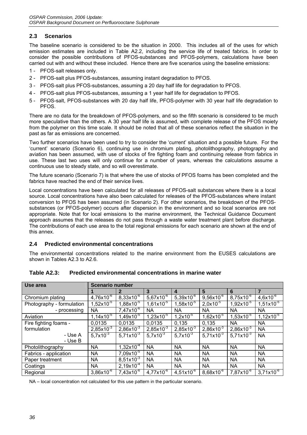# **2.3 Scenarios**

The baseline scenario is considered to be the situation in 2000. This includes all of the uses for which emission estimates are included in Table A2.2, including the service life of treated fabrics. In order to consider the possible contributions of PFOS-substances and PFOS-polymers, calculations have been carried out with and without these included. Hence there are five scenarios using the baseline emissions:

- 1 PFOS-salt releases only.
- 2 PFOS-salt plus PFOS-substances, assuming instant degradation to PFOS.
- 3 PFOS-salt plus PFOS-substances, assuming a 20 day half life for degradation to PFOS.
- 4 PFOS-salt plus PFOS-substances, assuming a 1 year half life for degradation to PFOS.
- 5 PFOS-salt, PFOS-substances with 20 day half life, PFOS-polymer with 30 year half life degradation to PFOS.

There are no data for the breakdown of PFOS-polymers, and so the fifth scenario is considered to be much more speculative than the others. A 30 year half life is assumed, with complete release of the PFOS moiety from the polymer on this time scale. It should be noted that all of these scenarios reflect the situation in the past as far as emissions are concerned.

Two further scenarios have been used to try to consider the 'current' situation and a possible future. For the 'current' scenario (Scenario 6), continuing use in chromium plating, photolithography, photography and aviation has been assumed, with use of stocks of fire fighting foam and continuing release from fabrics in use. These last two uses will only continue for a number of years, whereas the calculations assume a continuous use to steady state, and so will overestimate.

The future scenario (Scenario 7) is that where the use of stocks of PFOS foams has been completed and the fabrics have reached the end of their service lives.

Local concentrations have been calculated for all releases of PFOS-salt substances where there is a local source. Local concentrations have also been calculated for releases of the PFOS-substances where instant conversion to PFOS has been assumed (in Scenario 2). For other scenarios, the breakdown of the PFOSsubstances (or PFOS-polymer) occurs after dispersion in the environment and so local scenarios are not appropriate. Note that for local emissions to the marine environment, the Technical Guidance Document approach assumes that the releases do not pass through a waste water treatment plant before discharge. The contributions of each use area to the total regional emissions for each scenario are shown at the end of this annex.

### **2.4 Predicted environmental concentrations**

The environmental concentrations related to the marine environment from the EUSES calculations are shown in Tables A2.3 to A2.6.

| Use area                  | <b>Scenario number</b> |                           |                       |                       |                     |                     |                           |  |  |
|---------------------------|------------------------|---------------------------|-----------------------|-----------------------|---------------------|---------------------|---------------------------|--|--|
|                           |                        |                           | 3                     | 4                     | 5                   | 6                   |                           |  |  |
| Chromium plating          | $4,76\times10^{-6}$    | $8,33x10^{-6}$            | $5,67x10^{-6}$        | 5,39x10 $^{-6}$       | $9,56\times10^{-6}$ | $8,75x10^{-6}$      | $4,6x10^{-6}$             |  |  |
| Photography - formulation | $1,52\times10^{-5}$    | $1,88x\overline{10^{-5}}$ | $1,61x10^{-5}$        | $1,58\times10^{-5}$   | $2,0x10^{-5}$       | $1,92\times10^{-5}$ | $1,51x10^{-5}$            |  |  |
| - processing              | <b>NA</b>              | $7,47x10^{-6}$            | <b>NA</b>             | <b>NA</b>             | <b>NA</b>           | NA.                 | <b>NA</b>                 |  |  |
| Aviation                  | $1,14x10^{-5}$         | $1,49x10^{-5}$            | $1,23x10^{-5}$        | $1,2x10^{-5}$         | $1,62x10^{-5}$      | $1,53x10^{-5}$      | $1,12x10^{-5}$            |  |  |
| Fire fighting foams -     | 0,0135                 | 0,0135                    | 0,0135                | 0,135                 | 0.135               | <b>NA</b>           | <b>NA</b>                 |  |  |
| formulation               | $2,85\times10^{-3}$    | $2,86 \times 10^{-3}$     | $2,85 \times 10^{-3}$ | $2,85 \times 10^{-3}$ | $2,86\times10^{-3}$ | $2,86x10^{-3}$      | <b>NA</b>                 |  |  |
| - Use A                   | $5,7x10^{-3}$          | $5,71x10^{-3}$            | $5,7x10^{-3}$         | $5,7x10^{-3}$         | $5.71x10^{-3}$      | $5,71x10^{-3}$      | <b>NA</b>                 |  |  |
| - Use B                   |                        |                           |                       |                       |                     |                     |                           |  |  |
| Photolithography          | <b>NA</b>              | $1,32\times10^{-4}$       | <b>NA</b>             | <b>NA</b>             | <b>NA</b>           | <b>NA</b>           | <b>NA</b>                 |  |  |
| Fabrics - application     | <b>NA</b>              | $7,09x10^{-5}$            | <b>NA</b>             | <b>NA</b>             | <b>NA</b>           | <b>NA</b>           | <b>NA</b>                 |  |  |
| Paper treatment           | <b>NA</b>              | $8,51x10^{-3}$            | <b>NA</b>             | <b>NA</b>             | <b>NA</b>           | <b>NA</b>           | <b>NA</b>                 |  |  |
| Coatings                  | <b>NA</b>              | $2,19x10^{4}$             | <b>NA</b>             | <b>NA</b>             | <b>NA</b>           | <b>NA</b>           | <b>NA</b>                 |  |  |
| Regional                  | $3,86x10^{-6}$         | $7,43x10^{-6}$            | $4,77\times10^{-6}$   | $4,51x10^{-6}$        | $8,68x10^{-6}$      | $7,87\times10^{-6}$ | $3,71x\overline{10^{-6}}$ |  |  |

# **Table A2.3: Predicted environmental concentrations in marine water**

NA – local concentration not calculated for this use pattern in the particular scenario.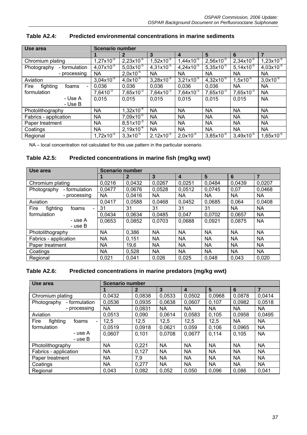| Use area                                    | <b>Scenario number</b> |                |                     |                       |                     |                     |                |  |
|---------------------------------------------|------------------------|----------------|---------------------|-----------------------|---------------------|---------------------|----------------|--|
|                                             |                        | 2              | 3                   | 4                     | 5                   | 6                   | $\overline{7}$ |  |
| Chromium plating                            | $1,27\times10^{-5}$    | $2,23x10^{-5}$ | $1,52\times10^{-5}$ | $1,44 \times 10^{-5}$ | $2,56x10^{-5}$      | $2,34\times10^{-5}$ | $1,23x10^{-5}$ |  |
| - formulation<br>Photography                | $4,07x10^{-5}$         | $5,03x10^{-5}$ | $4,31x10^{-5}$      | $4,24\times10^{-5}$   | $5,35x10^{-5}$      | $5,14\times10^{-5}$ | $4,03x10^{-5}$ |  |
| - processing                                | <b>NA</b>              | $2,0x10^{-5}$  | <b>NA</b>           | <b>NA</b>             | <b>NA</b>           | <b>NA</b>           | NA             |  |
| Aviation                                    | $3,04\times10^{-5}$    | $4,0x10^{3}$   | $3,28\times10^{-5}$ | $3,21x10^{-5}$        | $4,32\times10^{-5}$ | $1,5x10^{-5}$       | $3,0x10^{5}$   |  |
| Fire<br>fighting<br>foams<br>$\blacksquare$ | 0.036                  | 0.036          | 0.036               | 0.036                 | 0.036               | <b>NA</b>           | NA             |  |
| formulation                                 | $7,6410^{-3}$          | $7,65x10^{-3}$ | $7,64\times10^{-3}$ | $7,64\times10^{-3}$   | $7,65x10^{-3}$      | $7,65x10^{-3}$      | NA             |  |
| - Use A                                     | 0,015                  | 0.015          | 0.015               | 0.015                 | 0.015               | 0.015               | <b>NA</b>      |  |
| - Use B                                     |                        |                |                     |                       |                     |                     |                |  |
| Photolithography                            | <b>NA</b>              | $1,32x10^{-4}$ | <b>NA</b>           | <b>NA</b>             | <b>NA</b>           | <b>NA</b>           | <b>NA</b>      |  |
| Fabrics - application                       | <b>NA</b>              | $7,09x10^{-5}$ | <b>NA</b>           | <b>NA</b>             | <b>NA</b>           | NA                  | NA             |  |
| Paper treatment                             | <b>NA</b>              | $8,51x10^{-3}$ | <b>NA</b>           | <b>NA</b>             | <b>NA</b>           | NA                  | <b>NA</b>      |  |
| Coatings                                    | <b>NA</b>              | $2,19x10^{-4}$ | <b>NA</b>           | <b>NA</b>             | <b>NA</b>           | <b>NA</b>           | NA             |  |
| Regional                                    | $1,72\times10^{-5}$    | $3,3x10^{-5}$  | $2,12\times10^{-5}$ | $2,0x10^{-5}$         | $3,85x10^{-5}$      | $3,49x10^{-5}$      | $1,65x10^{-5}$ |  |

# **Table A2.4: Predicted environmental concentrations in marine sediments**

NA – local concentration not calculated for this use pattern in the particular scenario.

### **Table A2.5: Predicted concentrations in marine fish (mg/kg wwt)**

| Use area                     |                          | <b>Scenario number</b> |              |           |           |           |           |           |  |
|------------------------------|--------------------------|------------------------|--------------|-----------|-----------|-----------|-----------|-----------|--|
|                              |                          |                        | $\mathbf{2}$ | 3         | 4         | 5         | 6         | 7         |  |
| Chromium plating             |                          | 0,0216                 | 0,0432       | 0,0267    | 0.0251    | 0,0484    | 0,0439    | 0,0207    |  |
| - formulation<br>Photography |                          | 0,0477                 | 0,0676       | 0,0528    | 0.0512    | 0.0745    | 0,07      | 0,0468    |  |
| - processing                 |                          | NA                     | 0.0416       | <b>NA</b> | <b>NA</b> | NA        | <b>NA</b> | NA        |  |
| Aviation                     |                          | 0,0417                 | 0.0588       | 0,0468    | 0.0452    | 0.0685    | 0,064     | 0,0408    |  |
| Fire<br>fighting<br>foams    | $\overline{\phantom{0}}$ | 31                     | 31           | 31        | 31        | 31        | <b>NA</b> | NA        |  |
| formulation                  |                          | 0,0434                 | 0,0634       | 0,0485    | 0,047     | 0,0702    | 0,0657    | <b>NA</b> |  |
| - use A                      |                          | 0.0653                 | 0,0852       | 0.0703    | 0.0688    | 0.0921    | 0,0875    | <b>NA</b> |  |
| - use B                      |                          |                        |              |           |           |           |           |           |  |
| Photolithography             |                          | <b>NA</b>              | 0,386        | <b>NA</b> | <b>NA</b> | <b>NA</b> | <b>NA</b> | <b>NA</b> |  |
| Fabrics - application        |                          | <b>NA</b>              | 0,151        | <b>NA</b> | <b>NA</b> | <b>NA</b> | <b>NA</b> | NA.       |  |
| Paper treatment              |                          | <b>NA</b>              | 19,6         | <b>NA</b> | <b>NA</b> | <b>NA</b> | <b>NA</b> | NA        |  |
| Coatings                     |                          | <b>NA</b>              | 0.528        | <b>NA</b> | <b>NA</b> | <b>NA</b> | <b>NA</b> | <b>NA</b> |  |
| Regional                     |                          | 0,021                  | 0,041        | 0,026     | 0,025     | 0,048     | 0,043     | 0,020     |  |

### **Table A2.6: Predicted concentrations in marine predators (mg/kg wwt)**

| Use area                                    | <b>Scenario number</b> |              |           |                         |                 |           |                |
|---------------------------------------------|------------------------|--------------|-----------|-------------------------|-----------------|-----------|----------------|
|                                             |                        | $\mathbf{2}$ | 3         | $\overline{\mathbf{4}}$ | $5\phantom{.0}$ | 6         | $\overline{7}$ |
| Chromium plating                            | 0,0432                 | 0,0838       | 0,0533    | 0,0502                  | 0,0968          | 0,0878    | 0,0414         |
| - formulation<br>Photography                | 0.0536                 | 0.0935       | 0,0638    | 0,0607                  | 0.107           | 0,0982    | 0.0518         |
| - processing                                | <b>NA</b>              | 0,0831       | <b>NA</b> | <b>NA</b>               | <b>NA</b>       | NA        | <b>NA</b>      |
| Aviation                                    | 0.0513                 | 0,090        | 0,0614    | 0.0583                  | 0.105           | 0.0958    | 0.0495         |
| fighting<br>Fire<br>foams<br>$\blacksquare$ | 12,5                   | 12,5         | 12,5      | 12,5                    | 12,5            | NA        | <b>NA</b>      |
| formulation                                 | 0.0519                 | 0.0918       | 0.0621    | 0,059                   | 0.106           | 0.0965    | <b>NA</b>      |
| - use A                                     | 0,0607                 | 0,101        | 0.0708    | 0,0677                  | 0.114           | 0.105     | <b>NA</b>      |
| - use B                                     |                        |              |           |                         |                 |           |                |
| Photolithography                            | <b>NA</b>              | 0,221        | <b>NA</b> | <b>NA</b>               | <b>NA</b>       | <b>NA</b> | <b>NA</b>      |
| Fabrics - application                       | <b>NA</b>              | 0,127        | <b>NA</b> | <b>NA</b>               | <b>NA</b>       | NA        | <b>NA</b>      |
| Paper treatment                             | <b>NA</b>              | 7,9          | <b>NA</b> | <b>NA</b>               | <b>NA</b>       | <b>NA</b> | <b>NA</b>      |
| Coatings                                    | NA                     | 0,277        | <b>NA</b> | <b>NA</b>               | <b>NA</b>       | NA        | <b>NA</b>      |
| Regional                                    | 0.043                  | 0,082        | 0.052     | 0.050                   | 0.096           | 0.086     | 0.041          |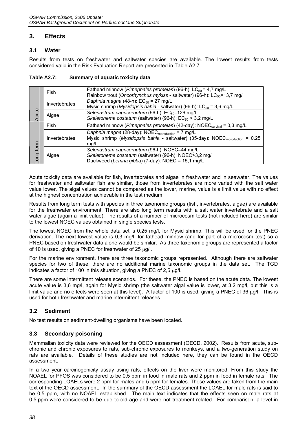# **3. Effects**

### **3.1 Water**

Results from tests on freshwater and saltwater species are available. The lowest results from tests considered valid in the Risk Evaluation Report are presented in Table A2.7.

|           | Fish          | Fathead minnow (Pimephales promelas) (96-h): $LC_{50} = 4.7$ mg/L<br>Rainbow trout (Oncorhynchus mykiss - saltwater) (96-h): LC <sub>50</sub> =13,7 mg/l                        |
|-----------|---------------|---------------------------------------------------------------------------------------------------------------------------------------------------------------------------------|
|           | Invertebrates | Daphnia magna (48-h): $EC_{50} = 27$ mg/L<br>Mysid shrimp ( <i>Mysidopsis bahia - saltwater</i> ) (96-h): $LC_{50}$ = 3,6 mg/L                                                  |
| Acute     | Algae         | Selenastrum capricornutum (96-h): EC <sub>50</sub> =126 mg/l<br>Skeletonema costatum (saltwater) (96-h): $EC_{50}$ > 3,2 mg/L                                                   |
|           | Fish          | Fathead minnow ( <i>Pimephales promelas</i> ) (42-day): $NOEC_{survival} = 0.3$ mg/L                                                                                            |
|           | Invertebrates | Daphnia magna (28-day): $NOEC_{\text{reproduction}} = 7 \text{ mg/L}$<br>Mysid shrimp (Mysidopsis bahia - saltwater) (35-day): NOEC <sub>reproduction</sub><br>$= 0.25$<br>mq/L |
| Long-term | Algae         | Selenastrum capricornutum (96-h): NOEC=44 mg/l,<br>Skeletonema costatum (saltwater) (96-h): NOEC>3,2 mg/l<br>Duckweed (Lemna gibba) (7-day): NOEC = 15,1 mg/L                   |

**Table A2.7: Summary of aquatic toxicity data** 

Acute toxicity data are available for fish, invertebrates and algae in freshwater and in seawater. The values for freshwater and saltwater fish are similar, those from invertebrates are more varied with the salt water value lower. The algal values cannot be compared as the lower, marine, value is a limit value with no effect at the highest concentration achievable in the test medium.

Results from long term tests with species in three taxonomic groups (fish, invertebrates, algae) are available for the freshwater environment. There are also long term results with a salt water invertebrate and a salt water algae (again a limit value). The results of a number of microcosm tests (not included here) are similar to the lowest NOEC values obtained in single species tests.

The lowest NOEC from the whole data set is 0,25 mg/l, for Mysid shrimp. This will be used for the PNEC derivation. The next lowest value is 0,3 mg/l, for fathead minnow (and for part of a microcosm test) so a PNEC based on freshwater data alone would be similar. As three taxonomic groups are represented a factor of 10 is used, giving a PNEC for freshwater of 25  $\mu$ g/l.

For the marine environment, there are three taxonomic groups represented. Although there are saltwater species for two of these, there are no additional marine taxonomic groups in the data set. The TGD indicates a factor of 100 in this situation, giving a PNEC of 2.5  $\mu$ g/l.

There are some intermittent release scenarios. For these, the PNEC is based on the acute data. The lowest acute value is 3,6 mg/l, again for Mysid shrimp (the saltwater algal value is lower, at 3,2 mg/l, but this is a limit value and no effects were seen at this level). A factor of 100 is used, giving a PNEC of 36 µg/l. This is used for both freshwater and marine intermittent releases.

# **3.2 Sediment**

No test results on sediment-dwelling organisms have been located.

# **3.3 Secondary poisoning**

Mammalian toxicity data were reviewed for the OECD assessment (OECD, 2002). Results from acute, subchronic and chronic exposures to rats, sub-chronic exposures to monkeys, and a two-generation study on rats are available. Details of these studies are not included here, they can be found in the OECD assessment.

In a two year carcinogenicity assay using rats, effects on the liver were monitored. From this study the NOAEL for PFOS was considered to be 0,5 ppm in food in male rats and 2 ppm in food in female rats. The corresponding LOAELs were 2 ppm for males and 5 ppm for females. These values are taken from the main text of the OECD assessment. In the summary of the OECD assessment the LOAEL for male rats is said to be 0,5 ppm, with no NOAEL established. The main text indicates that the effects seen on male rats at 0,5 ppm were considered to be due to old age and were not treatment related. For comparison, a level in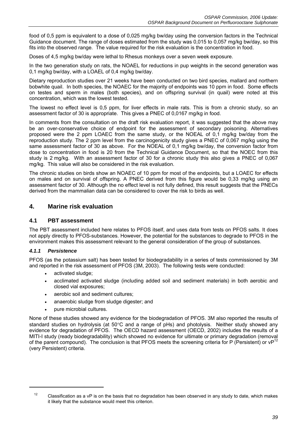food of 0,5 ppm is equivalent to a dose of 0,025 mg/kg bw/day using the conversion factors in the Technical Guidance document. The range of doses estimated from the study was 0,015 to 0,057 mg/kg bw/day, so this fits into the observed range. The value required for the risk evaluation is the concentration in food.

Doses of 4,5 mg/kg bw/day were lethal to Rhesus monkeys over a seven week exposure.

In the two generation study on rats, the NOAEL for reductions in pup weights in the second generation was 0,1 mg/kg bw/day, with a LOAEL of 0,4 mg/kg bw/day.

Dietary reproduction studies over 21 weeks have been conducted on two bird species, mallard and northern bobwhite quail. In both species, the NOAEC for the majority of endpoints was 10 ppm in food. Some effects on testes and sperm in males (both species), and on offspring survival (in quail) were noted at this concentration, which was the lowest tested.

The lowest no effect level is 0,5 ppm, for liver effects in male rats. This is from a chronic study, so an assessment factor of 30 is appropriate. This gives a PNEC of 0,0167 mg/kg in food.

In comments from the consultation on the draft risk evaluation report, it was suggested that the above may be an over-conservative choice of endpoint for the assessment of secondary poisoning. Alternatives proposed were the 2 ppm LOAEC from the same study, or the NOEAL of 0,1 mg/kg bw/day from the reproduction study. The 2 ppm level from the carcinogenicity study gives a PNEC of 0,067 mg/kg using the same assessment factor of 30 as above. For the NOEAL of 0,1 mg/kg bw/day, the conversion factor from dose to concentration in food is 20 from the Technical Guidance Document, so that the NOEC from this study is 2 mg/kg. With an assessment factor of 30 for a chronic study this also gives a PNEC of 0,067 mg/kg. This value will also be considered in the risk evaluation.

The chronic studies on birds show an NOAEC of 10 ppm for most of the endpoints, but a LOAEC for effects on males and on survival of offspring. A PNEC derived from this figure would be 0,33 mg/kg using an assessment factor of 30. Although the no effect level is not fully defined, this result suggests that the PNECs derived from the mammalian data can be considered to cover the risk to birds as well.

### **4. Marine risk evaluation**

#### **4.1 PBT assessment**

The PBT assessment included here relates to PFOS itself, and uses data from tests on PFOS salts. It does not apply directly to PFOS-substances. However, the potential for the substances to degrade to PFOS in the environment makes this assessment relevant to the general consideration of the group of substances.

#### *4.1.1 Persistence*

PFOS (as the potassium salt) has been tested for biodegradability in a series of tests commissioned by 3M and reported in the risk assessment of PFOS (3M, 2003). The following tests were conducted:

- activated sludge;
- acclimated activated sludge (including added soil and sediment materials) in both aerobic and closed vial exposures;
- aerobic soil and sediment cultures;
- anaerobic sludge from sludge digester; and
- pure microbial cultures.

None of these studies showed any evidence for the biodegradation of PFOS. 3M also reported the results of standard studies on hydrolysis (at 50°C and a range of pHs) and photolysis. Neither study showed any evidence for degradation of PFOS. The OECD hazard assessment (OECD, 2002) includes the results of a MITI-I study (ready biodegradability) which showed no evidence for ultimate or primary degradation (removal of the parent compound). The conclusion is that PFOS meets the screening criteria for P (Persistent) or vP<sup>12</sup> (very Persistent) criteria.

<sup>&</sup>lt;sup>12</sup> Classification as a vP is on the basis that no degradation has been observed in any study to date, which makes it likely that the substance would meet this criterion.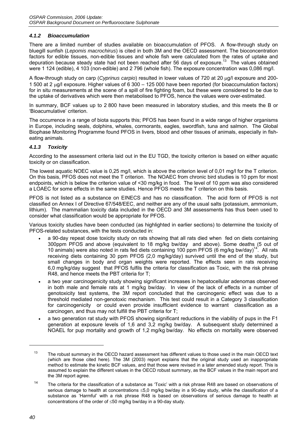#### *4.1.2 Bioaccumulation*

There are a limited number of studies available on bioaccumulation of PFOS. A flow-through study on bluegill sunfish (*Lepomis macrochirus*) is cited in both 3M and the OECD assessment. The bioconcentration factors for edible tissues, non-edible tissues and whole fish were calculated from the rates of uptake and depuration because steady state had not been reached after 56 days of exposure.<sup>13</sup> The values obtained were 1 124 (edible), 4 103 (non-edible) and 2 796 (whole fish). The exposure concentration was 0,086 mg/l.

A flow-through study on carp (*Cyprinus carpio*) resulted in lower values of 720 at 20 µg/l exposure and 200- 1 500 at 2 µg/l exposure. Higher values of 6 300 – 125 000 have been reported (for bioaccumulation factors) for in situ measurements at the scene of a spill of fire fighting foam, but these were considered to be due to the uptake of derivatives which were then metabolised to PFOS, hence the values were over-estimated.

In summary, BCF values up to 2 800 have been measured in laboratory studies, and this meets the B or 'Bioacumulative' criterion.

The occurrence in a range of biota supports this; PFOS has been found in a wide range of higher organisms in Europe, including seals, dolphins, whales, cormorants, eagles, swordfish, tuna and salmon. The Global Biophase Monitoring Programme found PFOS in livers, blood and other tissues of animals, especially in fisheating animals.

#### *4.1.3 Toxicity*

According to the assessment criteria laid out in the EU TGD, the toxicity criterion is based on either aquatic toxicity or on classification.

The lowest aquatic NOEC value is 0,25 mg/l, which is above the criterion level of 0,01 mg/l for the T criterion. On this basis, PFOS does not meet the T criterion. The NOAEC from chronic bird studies is 10 ppm for most endpoints, which is below the criterion value of <30 mg/kg in food. The level of 10 ppm was also considered a LOAEC for some effects in the same studies. Hence PFOS meets the T criterion on this basis.

PFOS is not listed as a substance on EINECS and has no classification. The acid form of PFOS is not classified on Annex I of Directive 67/548/EEC, and neither are any of the usual salts (potassium, ammonium, lithium). The mammalian toxicity data included in the OECD and 3M assessments has thus been used to consider what classification would be appropriate for PFOS.

Various toxicity studies have been conducted (as highlighted in earlier sections) to determine the toxicity of PFOS-related substances, with the tests conducted in:

- a 90-day repeat dose toxicity study on rats showing that all rats died when fed on diets containing 300ppm PFOS and above (equivalent to 18 mg/kg bw/day and above). Some deaths (5 out of 10 animals) were also noted in rats fed diets containing 100 ppm PFOS (6 mg/kg bw/day)<sup>14</sup>. All rats receiving diets containing 30 ppm PFOS (2,0 mg/kg/day) survived until the end of the study, but small changes in body and organ weights were reported. The effects seen in rats receiving 6,0 mg/kg/day suggest that PFOS fulfils the criteria for classification as Toxic, with the risk phrase R48, and hence meets the PBT criteria for T;
- a two year carcinogenicity study showing significant increases in hepatocellular adenomas observed in both male and female rats at 1 mg/kg bw/day. In view of the lack of effects in a number of genotoxicity test systems, the 3M report concluded that the carcinogenic effect was due to a threshold mediated non-genotoxic mechanism. This test could result in a Category 3 classification for carcinogenicity or could even provide insufficient evidence to warrant classification as a carcinogen, and thus may not fulfill the PBT criteria for T;
- a two generation rat study with PFOS showing significant reductions in the viability of pups in the F1 generation at exposure levels of 1,6 and 3,2 mg/kg bw/day. A subsequent study determined a NOAEL for pup mortality and growth of 1,2 mg/kg bw/day. No effects on mortality were observed

<sup>&</sup>lt;sup>13</sup> The robust summary in the OECD hazard assessment has different values to those used in the main OECD text (which are those cited here). The 3M (2003) report explains that the original study used an inappropriate method to estimate the kinetic BCF values, and that those were revised in a later amended study report. This is assumed to explain the different values in the OECD robust summary, as the BCF values in the main report and the 3M report agree.

<sup>&</sup>lt;sup>14</sup> The criteria for the classification of a substance as 'Toxic' with a risk phrase R48 are based on observations of serious damage to health at concentrations ≤5,0 mg/kg bw/day in a 90-day study, while the classification of a substance as 'Harmful' with a risk phrase R48 is based on observations of serious damage to health at concentrations of the order of ≤50 mg/kg bw/day in a 90-day study.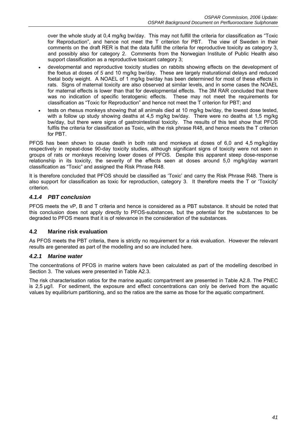over the whole study at 0,4 mg/kg bw/day. This may not fulfill the criteria for classification as "Toxic for Reproduction", and hence not meet the T criterion for PBT. The view of Sweden in their comments on the draft RER is that the data fulfill the criteria for reproductive toxicity as category 3, and possibly also for category 2. Comments from the Norwegian Institute of Public Health also support classification as a reproductive toxicant category 3:

- developmental and reproductive toxicity studies on rabbits showing effects on the development of the foetus at doses of *5* and 10 mg/kg bw/day. These are largely maturational delays and reduced foetal body weight. A NOAEL of 1 mg/kg bw/day has been determined for most of these effects in rats. Signs of maternal toxicity are also observed at similar levels, and in some cases the NOAEL for maternal effects is lower than that for developmental effects. The 3M RAR concluded that there was no indication of specific teratogenic effects. These may not meet the requirements for classification as "Toxic for Reproduction" and hence not meet the T criterion for PBT; and
- tests on rhesus monkeys showing that all animals died at 10 mg/kg bw/day, the lowest dose tested, with a follow up study showing deaths at 4,5 mg/kg bw/day. There were no deaths at 1,5 mg/kg bw/day, but there were signs of gastrointestinal toxicity. The results of this test show that PFOS fulfils the criteria for classification as Toxic, with the risk phrase R48, and hence meets the T criterion for PBT.

PFOS has been shown to cause death in both rats and monkeys at doses of 6,0 and 4,5 mg/kg/day respectively in repeat-dose 90-day toxicity studies, although significant signs of toxicity were not seen in groups of rats or monkeys receiving lower doses of PFOS. Despite this apparent steep dose-response relationship in its toxicity, the severity of the effects seen at doses around 5,0 mg/kg/day warrant classification as "Toxic" and assigned the Risk Phrase R48.

It is therefore concluded that PFOS should be classified as 'Toxic' and carry the Risk Phrase R48. There is also support for classification as toxic for reproduction, category 3. It therefore meets the T or 'Toxicity' criterion.

# *4.1.4 PBT conclusion*

PFOS meets the vP, B and T criteria and hence is considered as a PBT substance. It should be noted that this conclusion does not apply directly to PFOS-substances, but the potential for the substances to be degraded to PFOS means that it is of relevance in the consideration of the substances.

### **4.2 Marine risk evaluation**

As PFOS meets the PBT criteria, there is strictly no requirement for a risk evaluation. However the relevant results are generated as part of the modelling and so are included here.

### *4.2.1 Marine water*

The concentrations of PFOS in marine waters have been calculated as part of the modelling described in Section 3. The values were presented in Table A2.3.

The risk characterisation ratios for the marine aquatic compartment are presented in Table A2.8. The PNEC is 2,5 µg/l. For sediment, the exposure and effect concentrations can only be derived from the aquatic values by equilibrium partitioning, and so the ratios are the same as those for the aquatic compartment.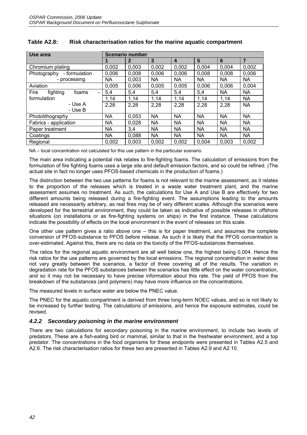| Use area                     | <b>Scenario number</b> |                |           |           |           |           |                |  |
|------------------------------|------------------------|----------------|-----------|-----------|-----------|-----------|----------------|--|
|                              |                        | $\overline{2}$ | 3         | 4         | 5         | 6         | $\overline{7}$ |  |
| Chromium plating             | 0,002                  | 0.003          | 0,002     | 0,002     | 0,004     | 0,004     | 0,002          |  |
| - formulation<br>Photography | 0,006                  | 0,008          | 0,006     | 0,006     | 0.008     | 0,008     | 0,006          |  |
| - processing                 | <b>NA</b>              | 0,003          | <b>NA</b> | NA.       | <b>NA</b> | <b>NA</b> | <b>NA</b>      |  |
| Aviation                     | 0.005                  | 0,006          | 0,005     | 0,005     | 0,006     | 0,006     | 0.004          |  |
| Fire<br>fighting<br>foams    | 5,4                    | 5,4            | 5,4       | 5,4       | 5,4       | NA        | <b>NA</b>      |  |
| formulation                  | 1,14                   | 1,14           | 1,14      | 1,14      | 1,14      | 1,14      | <b>NA</b>      |  |
| - Use A                      | 2,28                   | 2,28           | 2,28      | 2,28      | 2,28      | 2,28      | <b>NA</b>      |  |
| - Use B                      |                        |                |           |           |           |           |                |  |
| Photolithography             | <b>NA</b>              | 0,053          | <b>NA</b> | <b>NA</b> | <b>NA</b> | <b>NA</b> | <b>NA</b>      |  |
| Fabrics - application        | <b>NA</b>              | 0,028          | <b>NA</b> | <b>NA</b> | <b>NA</b> | <b>NA</b> | <b>NA</b>      |  |
| Paper treatment              | <b>NA</b>              | 3,4            | <b>NA</b> | <b>NA</b> | <b>NA</b> | <b>NA</b> | <b>NA</b>      |  |
| Coatings                     | <b>NA</b>              | 0,088          | <b>NA</b> | <b>NA</b> | <b>NA</b> | <b>NA</b> | <b>NA</b>      |  |
| Regional                     | 0,002                  | 0,003          | 0,002     | 0,002     | 0,004     | 0,003     | 0,002          |  |

| Table A2.8: | Risk characterisation ratios for the marine aquatic compartment |
|-------------|-----------------------------------------------------------------|
|-------------|-----------------------------------------------------------------|

NA – local concentration not calculated for this use pattern in the particular scenario.

The main area indicating a potential risk relates to fire-fighting foams. The calculation of emissions from the formulation of fire fighting foams uses a large site and default emission factors, and so could be refined. (The actual site in fact no longer uses PFOS-based chemicals in the production of foams.)

The distinction between the two use patterns for foams is not relevant to the marine assessment, as it relates to the proportion of the releases which is treated in a waste water treatment plant, and the marine assessment assumes no treatment. As such, the calculations for Use A and Use B are effectively for two different amounts being released during a fire-fighting event. The assumptions leading to the amounts released are necessarily arbitrary, as real fires may be of very different scales. Although the scenarios were developed for the terrestrial environment, they could be taken as indicative of possible releases in offshore situations (on installations or as fire-fighting systems on ships) in the first instance. These calculations indicate the possibility of effects on the local environment in the event of releases on this scale.

One other use pattern gives a ratio above one – this is for paper treatment, and assumes the complete conversion of PFOS-substance to PFOS before release. As such it is likely that the PFOS concentration is over-estimated. Against this, there are no data on the toxicity of the PFOS-substances themselves.

The ratios for the regional aquatic environment are all well below one, the highest being 0,004. Hence the risk ratios for the use patterns are governed by the local emissions. The regional concentration in water does not vary greatly between the scenarios, a factor of three covering all of the results. The variation in degradation rate for the PFOS substances between the scenarios has little effect on the water concentration, and so it may not be necessary to have precise information about this rate. The yield of PFOS from the breakdown of the substances (and polymers) may have more influence on the concentrations.

The measured levels in surface water are below the PNEC value.

The PNEC for the aquatic compartment is derived from three long-term NOEC values, and so is not likely to be increased by further testing. The calculations of emissions, and hence the exposure estimates, could be revised.

### *4.2.2 Secondary poisoning in the marine environment*

There are two calculations for secondary poisoning in the marine environment, to include two levels of predators. These are a fish-eating bird or mammal, similar to that in the freshwater environment, and a top predator. The concentrations in the food organisms for these endpoints were presented in Tables A2.5 and A2.6. The risk characterisation ratios for these two are presented in Tables A2.9 and A2.10.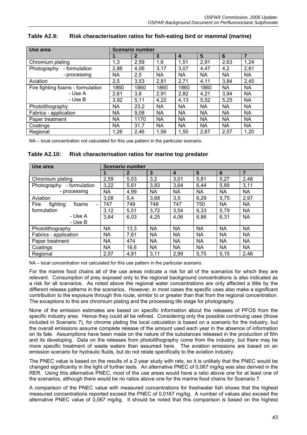| Use area                          | <b>Scenario number</b> |              |           |           |           |           |           |
|-----------------------------------|------------------------|--------------|-----------|-----------|-----------|-----------|-----------|
|                                   |                        | $\mathbf{2}$ | 3         | 4         | 5         | 6         | 7         |
| Chromium plating                  | 1,3                    | 2,59         | 1,6       | 1,51      | 2,91      | 2,63      | 1,24      |
| - formulation<br>Photography      | 2,86                   | 4,06         | 3,17      | 3,07      | 4,47      | 4,2       | 2,81      |
| - processing                      | <b>NA</b>              | 2,5          | <b>NA</b> | <b>NA</b> | <b>NA</b> | <b>NA</b> | <b>NA</b> |
| Aviation                          | 2,5                    | 3,53         | 2,81      | 2,71      | 4,11      | 3,84      | 2,45      |
| Fire fighting foams - formulation | 1860                   | 1860         | 1860      | 1860      | 1860      | <b>NA</b> | NA        |
| - Use A                           | 2,61                   | 3,8          | 2,91      | 2,82      | 4,21      | 3,94      | <b>NA</b> |
| - Use B                           | 3,92                   | 5,11         | 4,22      | 4,13      | 5,52      | 5,25      | <b>NA</b> |
| Photolithography                  | <b>NA</b>              | 23,2         | <b>NA</b> | <b>NA</b> | <b>NA</b> | <b>NA</b> | <b>NA</b> |
| Fabrics - application             | <b>NA</b>              | 9,08         | <b>NA</b> | <b>NA</b> | <b>NA</b> | <b>NA</b> | <b>NA</b> |
| Paper treatment                   | <b>NA</b>              | 1170         | <b>NA</b> | <b>NA</b> | <b>NA</b> | <b>NA</b> | <b>NA</b> |
| Coatings                          | <b>NA</b>              | 31,7         | <b>NA</b> | <b>NA</b> | <b>NA</b> | <b>NA</b> | <b>NA</b> |
| Regional                          | 1,26                   | 2,46         | 1,56      | 1,50      | 2,87      | 2,57      | 1,20      |

# **Table A2.9: Risk characterisation ratios for fish-eating bird or mammal (marine)**

NA – local concentration not calculated for this use pattern in the particular scenario.

#### **Table A2.10: Risk characterisation ratios for marine top predator**

| Use area                     | <b>Scenario number</b> |              |              |                  |                |           |                |
|------------------------------|------------------------|--------------|--------------|------------------|----------------|-----------|----------------|
|                              |                        | $\mathbf{2}$ | $\mathbf{3}$ | $\boldsymbol{4}$ | 5 <sup>5</sup> | 6         | $\overline{7}$ |
| Chromium plating             | 2,59                   | 5,03         | 3,2          | 3,01             | 5,81           | 5,27      | 2,48           |
| - formulation<br>Photography | 3,22                   | 5,61         | 3,83         | 3,64             | 6,44           | 5,89      | 3,11           |
| - processing                 | NA                     | 4,99         | NA           | <b>NA</b>        | <b>NA</b>      | <b>NA</b> | <b>NA</b>      |
| Aviation                     | 3,08                   | 5,4          | 3,68         | 3,5              | 6,29           | 5,75      | 2,97           |
| Fire<br>fighting<br>foams    | 747                    | 749          | 748          | 747              | 750            | <b>NA</b> | <b>NA</b>      |
| formulation                  | 3,12                   | 5,51         | 3,72         | 3,54             | 6,33           | 5,79      | <b>NA</b>      |
| - Use A<br>- Use B           | 3,64                   | 6,03         | 4,25         | 4,06             | 6,86           | 6,31      | <b>NA</b>      |
| Photolithography             | <b>NA</b>              | 13,3         | <b>NA</b>    | <b>NA</b>        | <b>NA</b>      | <b>NA</b> | <b>NA</b>      |
| Fabrics - application        | <b>NA</b>              | 7,61         | <b>NA</b>    | <b>NA</b>        | <b>NA</b>      | <b>NA</b> | NA             |
| Paper treatment              | NA                     | 474          | <b>NA</b>    | <b>NA</b>        | <b>NA</b>      | <b>NA</b> | <b>NA</b>      |
| Coatings                     | NA                     | 16,6         | <b>NA</b>    | <b>NA</b>        | <b>NA</b>      | <b>NA</b> | <b>NA</b>      |
| Regional                     | 2,57                   | 4,91         | 3,11         | 2,99             | 5,75           | 5,15      | 2,46           |

NA – local concentration not calculated for this use pattern in the particular scenario.

For the marine food chains all of the use areas indicate a risk for all of the scenarios for which they are relevant. Consumption of prey exposed only to the regional background concentrations is also indicated as a risk for all scenarios. As noted above the regional water concentrations are only affected a little by the different release patterns in the scenarios. However, in most cases the specific uses also make a significant contribution to the exposure through this route, similar to or greater than that from the regional concentration. The exceptions to this are chromium plating and the processing life stage for photography.

None of the emission estimates are based on specific information about the releases of PFOS from the specific industry area. Hence they could all be refined. Considering only the possible continuing uses (those included in Scenario 7), for chrome plating the local calculation is based on a scenario for the industry, but the overall emissions assume complete release of the amount used each year in the absence of information on its fate. Assumptions have been made on the nature of the substances released in the production of film and its developing. Data on the releases from photolithography come from the industry, but there may be more specific treatment of waste waters than assumed here. The aviation emissions are based on an emission scenario for hydraulic fluids, but do not relate specifically to the aviation industry.

The PNEC value is based on the results of a 2-year study with rats, so it is unlikely that the PNEC would be changed significantly in the light of further tests. An alternative PNEC of 0,067 mg/kg was also derived in the RER. Using this alternative PNEC, most of the use areas would have a ratio above one for at least one of the scenarios, although there would be no ratios above one for the marine food chains for Scenario 7.

A comparison of the PNEC value with measured concentrations for freshwater fish shows that the highest measured concentrations reported exceed the PNEC of 0,0167 mg/kg. A number of values also exceed the alternative PNEC value of 0,067 mg/kg. It should be noted that this comparison is based on the highest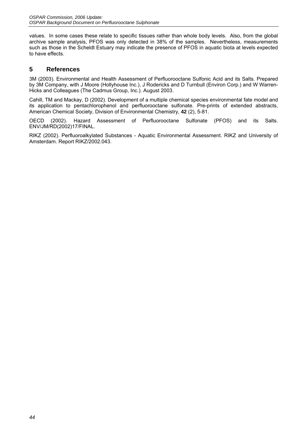values. In some cases these relate to specific tissues rather than whole body levels. Also, from the global archive sample analysis, PFOS was only detected in 38% of the samples. Nevertheless, measurements such as those in the Scheldt Estuary may indicate the presence of PFOS in aquatic biota at levels expected to have effects.

### **5 References**

3M (2003). Environmental and Health Assessment of Perfluorooctane Sulfonic Acid and its Salts. Prepared by 3M Company, with J Moore (Hollyhouse Inc.), J Rodericks and D Turnbull (Environ Corp.) and W Warren-Hicks and Colleagues (The Cadmus Group, Inc.). August 2003.

Cahill, TM and Mackay, D (2002). Development of a multiple chemical species environmental fate model and its application to pentachlorophenol and perfluorooctane sulfonate. Pre-prints of extended abstracts, American Chemical Society, Division of Environmental Chemistry, **42** (2), 5-81.

OECD (2002). Hazard Assessment of Perfluorooctane Sulfonate (PFOS) and its Salts. ENV/JM/RD(2002)17/FINAL.

RIKZ (2002). Perfluoroalkylated Substances - Aquatic Environmental Assessment. RIKZ and University of Amsterdam. Report RIKZ/2002.043.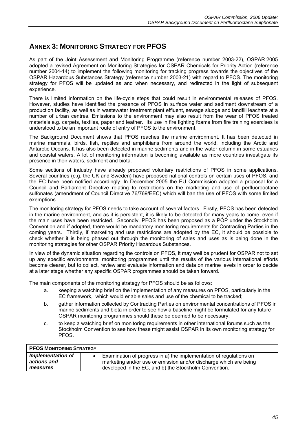# **ANNEX 3: MONITORING STRATEGY FOR PFOS**

As part of the Joint Assessment and Monitoring Programme (reference number 2003-22), OSPAR 2005 adopted a revised Agreement on Monitoring Strategies for OSPAR Chemicals for Priority Action (reference number 2004-14) to implement the following monitoring for tracking progress towards the objectives of the OSPAR Hazardous Substances Strategy (reference number 2003-21) with regard to PFOS. The monitoring strategy for PFOS will be updated as and when necessary, and redirected in the light of subsequent experience.

There is limited information on the life-cycle steps that could result in environmental releases of PFOS. However, studies have identified the presence of PFOS in surface water and sediment downstream of a production facility, as well as in wastewater treatment plant effluent, sewage sludge and landfill leachate at a number of urban centres. Emissions to the environment may also result from the wear of PFOS treated materials e.g. carpets, textiles, paper and leather. Its use in fire fighting foams from fire training exercises is understood to be an important route of entry of PFOS to the environment.

The Background Document shows that PFOS reaches the marine environment. It has been detected in marine mammals, birds, fish, reptiles and amphibians from around the world, including the Arctic and Antarctic Oceans. It has also been detected in marine sediments and in the water column in some estuaries and coastal waters. A lot of monitoring information is becoming available as more countries investigate its presence in their waters, sediment and biota.

Some sections of industry have already proposed voluntary restrictions of PFOS in some applications. Several countries (e.g. the UK and Sweden) have proposed national controls on certain uses of PFOS, and the EC have been notified accordingly. In December 2005 the EU Commission adopted a proposal for a Council and Parliament Directive relating to restrictions on the marketing and use of perfluorooctane sulfonates (amendment of Council Directive 76/769/EEC) which will ban the use of PFOS with some limited exemptions.

The monitoring strategy for PFOS needs to take account of several factors. Firstly, PFOS has been detected in the marine environment, and as it is persistent, it is likely to be detected for many years to come, even if the main uses have been restricted. Secondly, PFOS has been proposed as a POP under the Stockholm Convention and if adopted, there would be mandatory monitoring requirements for Contracting Parties in the coming years. Thirdly, if marketing and use restrictions are adopted by the EC, it should be possible to check whether it is being phased out through the monitoring of sales and uses as is being done in the monitoring strategies for other OSPAR Priority Hazardous Substances.

In view of the dynamic situation regarding the controls on PFOS, it may well be prudent for OSPAR not to set up any specific environmental monitoring programmes until the results of the various international efforts become clearer, but to collect, review and evaluate information and data on marine levels in order to decide at a later stage whether any specific OSPAR programmes should be taken forward.

The main components of the monitoring strategy for PFOS should be as follows:

- a. keeping a watching brief on the implementation of any measures on PFOS, particularly in the EC framework, which would enable sales and use of the chemical to be tracked;
- b. gather information collected by Contracting Parties on environmental concentrations of PFOS in marine sediments and biota in order to see how a baseline might be formulated for any future OSPAR monitoring programmes should these be deemed to be necessary;
- c. to keep a watching brief on monitoring requirements in other international forums such as the Stockholm Convention to see how these might assist OSPAR in its own monitoring strategy for PFOS.

| <b>PFOS MONITORING STRATEGY</b>              |                                                                                                                                                                                                  |
|----------------------------------------------|--------------------------------------------------------------------------------------------------------------------------------------------------------------------------------------------------|
| Implementation of<br>actions and<br>measures | Examination of progress in a) the implementation of regulations on<br>marketing and/or use or emission and/or discharge which are being<br>developed in the EC, and b) the Stockholm Convention. |